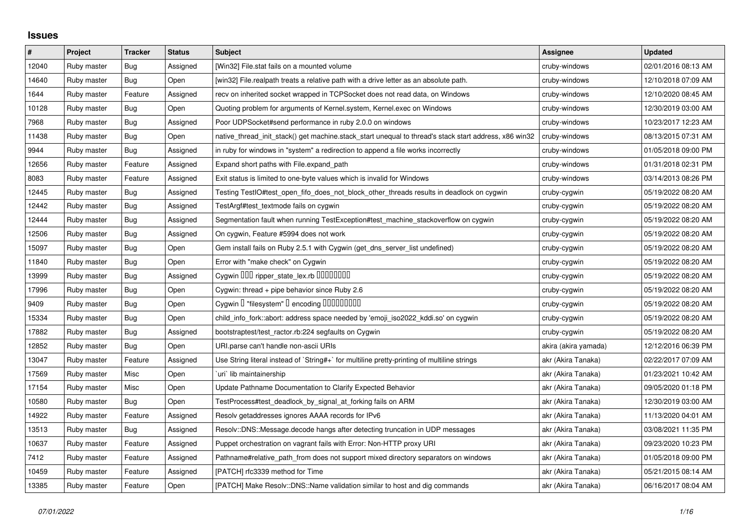## **Issues**

| $\#$  | Project     | <b>Tracker</b> | <b>Status</b> | <b>Subject</b>                                                                                        | Assignee             | <b>Updated</b>      |
|-------|-------------|----------------|---------------|-------------------------------------------------------------------------------------------------------|----------------------|---------------------|
| 12040 | Ruby master | Bug            | Assigned      | [Win32] File.stat fails on a mounted volume                                                           | cruby-windows        | 02/01/2016 08:13 AM |
| 14640 | Ruby master | <b>Bug</b>     | Open          | [win32] File.realpath treats a relative path with a drive letter as an absolute path.                 | cruby-windows        | 12/10/2018 07:09 AM |
| 1644  | Ruby master | Feature        | Assigned      | recv on inherited socket wrapped in TCPSocket does not read data, on Windows                          | cruby-windows        | 12/10/2020 08:45 AM |
| 10128 | Ruby master | <b>Bug</b>     | Open          | Quoting problem for arguments of Kernel.system, Kernel.exec on Windows                                | cruby-windows        | 12/30/2019 03:00 AM |
| 7968  | Ruby master | Bug            | Assigned      | Poor UDPSocket#send performance in ruby 2.0.0 on windows                                              | cruby-windows        | 10/23/2017 12:23 AM |
| 11438 | Ruby master | <b>Bug</b>     | Open          | native_thread_init_stack() get machine.stack_start unequal to thread's stack start address, x86 win32 | cruby-windows        | 08/13/2015 07:31 AM |
| 9944  | Ruby master | Bug            | Assigned      | in ruby for windows in "system" a redirection to append a file works incorrectly                      | cruby-windows        | 01/05/2018 09:00 PM |
| 12656 | Ruby master | Feature        | Assigned      | Expand short paths with File.expand path                                                              | cruby-windows        | 01/31/2018 02:31 PM |
| 8083  | Ruby master | Feature        | Assigned      | Exit status is limited to one-byte values which is invalid for Windows                                | cruby-windows        | 03/14/2013 08:26 PM |
| 12445 | Ruby master | <b>Bug</b>     | Assigned      | Testing TestIO#test_open_fifo_does_not_block_other_threads results in deadlock on cygwin              | cruby-cygwin         | 05/19/2022 08:20 AM |
| 12442 | Ruby master | Bug            | Assigned      | TestArgf#test textmode fails on cygwin                                                                | cruby-cygwin         | 05/19/2022 08:20 AM |
| 12444 | Ruby master | <b>Bug</b>     | Assigned      | Segmentation fault when running TestException#test_machine_stackoverflow on cygwin                    | cruby-cygwin         | 05/19/2022 08:20 AM |
| 12506 | Ruby master | Bug            | Assigned      | On cygwin, Feature #5994 does not work                                                                | cruby-cygwin         | 05/19/2022 08:20 AM |
| 15097 | Ruby master | Bug            | Open          | Gem install fails on Ruby 2.5.1 with Cygwin (get_dns_server_list undefined)                           | cruby-cygwin         | 05/19/2022 08:20 AM |
| 11840 | Ruby master | <b>Bug</b>     | Open          | Error with "make check" on Cygwin                                                                     | cruby-cygwin         | 05/19/2022 08:20 AM |
| 13999 | Ruby master | Bug            | Assigned      | Cygwin 000 ripper_state_lex.rb 0000000                                                                | cruby-cygwin         | 05/19/2022 08:20 AM |
| 17996 | Ruby master | Bug            | Open          | Cygwin: thread + pipe behavior since Ruby 2.6                                                         | cruby-cygwin         | 05/19/2022 08:20 AM |
| 9409  | Ruby master | <b>Bug</b>     | Open          | Cygwin I "filesystem" I encoding IIIIIIIIIIIII                                                        | cruby-cygwin         | 05/19/2022 08:20 AM |
| 15334 | Ruby master | Bug            | Open          | child_info_fork::abort: address space needed by 'emoji_iso2022_kddi.so' on cygwin                     | cruby-cygwin         | 05/19/2022 08:20 AM |
| 17882 | Ruby master | Bug            | Assigned      | bootstraptest/test_ractor.rb:224 segfaults on Cygwin                                                  | cruby-cygwin         | 05/19/2022 08:20 AM |
| 12852 | Ruby master | <b>Bug</b>     | Open          | URI.parse can't handle non-ascii URIs                                                                 | akira (akira yamada) | 12/12/2016 06:39 PM |
| 13047 | Ruby master | Feature        | Assigned      | Use String literal instead of `String#+` for multiline pretty-printing of multiline strings           | akr (Akira Tanaka)   | 02/22/2017 07:09 AM |
| 17569 | Ruby master | Misc           | Open          | uri`lib maintainership                                                                                | akr (Akira Tanaka)   | 01/23/2021 10:42 AM |
| 17154 | Ruby master | Misc           | Open          | Update Pathname Documentation to Clarify Expected Behavior                                            | akr (Akira Tanaka)   | 09/05/2020 01:18 PM |
| 10580 | Ruby master | Bug            | Open          | TestProcess#test_deadlock_by_signal_at_forking fails on ARM                                           | akr (Akira Tanaka)   | 12/30/2019 03:00 AM |
| 14922 | Ruby master | Feature        | Assigned      | Resolv getaddresses ignores AAAA records for IPv6                                                     | akr (Akira Tanaka)   | 11/13/2020 04:01 AM |
| 13513 | Ruby master | <b>Bug</b>     | Assigned      | Resolv::DNS::Message.decode hangs after detecting truncation in UDP messages                          | akr (Akira Tanaka)   | 03/08/2021 11:35 PM |
| 10637 | Ruby master | Feature        | Assigned      | Puppet orchestration on vagrant fails with Error: Non-HTTP proxy URI                                  | akr (Akira Tanaka)   | 09/23/2020 10:23 PM |
| 7412  | Ruby master | Feature        | Assigned      | Pathname#relative_path_from does not support mixed directory separators on windows                    | akr (Akira Tanaka)   | 01/05/2018 09:00 PM |
| 10459 | Ruby master | Feature        | Assigned      | [PATCH] rfc3339 method for Time                                                                       | akr (Akira Tanaka)   | 05/21/2015 08:14 AM |
| 13385 | Ruby master | Feature        | Open          | [PATCH] Make Resolv::DNS::Name validation similar to host and dig commands                            | akr (Akira Tanaka)   | 06/16/2017 08:04 AM |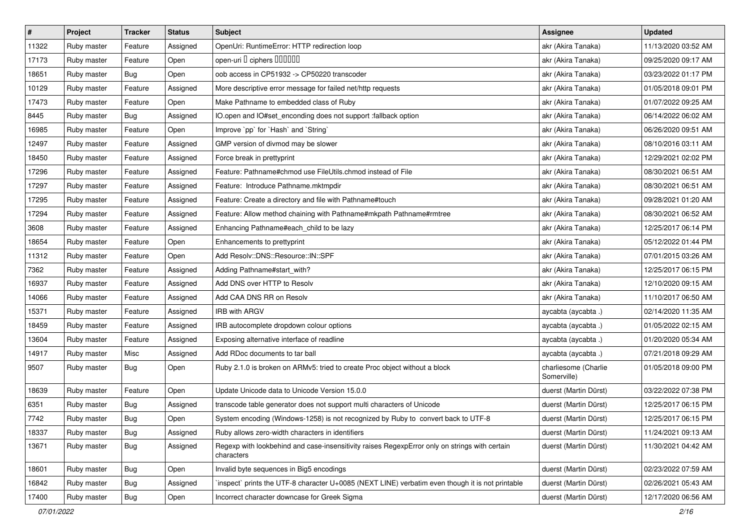| $\pmb{\#}$ | Project     | <b>Tracker</b> | <b>Status</b> | <b>Subject</b>                                                                                              | <b>Assignee</b>                     | <b>Updated</b>      |
|------------|-------------|----------------|---------------|-------------------------------------------------------------------------------------------------------------|-------------------------------------|---------------------|
| 11322      | Ruby master | Feature        | Assigned      | OpenUri: RuntimeError: HTTP redirection loop                                                                | akr (Akira Tanaka)                  | 11/13/2020 03:52 AM |
| 17173      | Ruby master | Feature        | Open          | open-uri I ciphers IIIIIII                                                                                  | akr (Akira Tanaka)                  | 09/25/2020 09:17 AM |
| 18651      | Ruby master | Bug            | Open          | oob access in CP51932 -> CP50220 transcoder                                                                 | akr (Akira Tanaka)                  | 03/23/2022 01:17 PM |
| 10129      | Ruby master | Feature        | Assigned      | More descriptive error message for failed net/http requests                                                 | akr (Akira Tanaka)                  | 01/05/2018 09:01 PM |
| 17473      | Ruby master | Feature        | Open          | Make Pathname to embedded class of Ruby                                                                     | akr (Akira Tanaka)                  | 01/07/2022 09:25 AM |
| 8445       | Ruby master | Bug            | Assigned      | IO.open and IO#set_enconding does not support :fallback option                                              | akr (Akira Tanaka)                  | 06/14/2022 06:02 AM |
| 16985      | Ruby master | Feature        | Open          | Improve `pp` for `Hash` and `String`                                                                        | akr (Akira Tanaka)                  | 06/26/2020 09:51 AM |
| 12497      | Ruby master | Feature        | Assigned      | GMP version of divmod may be slower                                                                         | akr (Akira Tanaka)                  | 08/10/2016 03:11 AM |
| 18450      | Ruby master | Feature        | Assigned      | Force break in prettyprint                                                                                  | akr (Akira Tanaka)                  | 12/29/2021 02:02 PM |
| 17296      | Ruby master | Feature        | Assigned      | Feature: Pathname#chmod use FileUtils.chmod instead of File                                                 | akr (Akira Tanaka)                  | 08/30/2021 06:51 AM |
| 17297      | Ruby master | Feature        | Assigned      | Feature: Introduce Pathname.mktmpdir                                                                        | akr (Akira Tanaka)                  | 08/30/2021 06:51 AM |
| 17295      | Ruby master | Feature        | Assigned      | Feature: Create a directory and file with Pathname#touch                                                    | akr (Akira Tanaka)                  | 09/28/2021 01:20 AM |
| 17294      | Ruby master | Feature        | Assigned      | Feature: Allow method chaining with Pathname#mkpath Pathname#rmtree                                         | akr (Akira Tanaka)                  | 08/30/2021 06:52 AM |
| 3608       | Ruby master | Feature        | Assigned      | Enhancing Pathname#each_child to be lazy                                                                    | akr (Akira Tanaka)                  | 12/25/2017 06:14 PM |
| 18654      | Ruby master | Feature        | Open          | Enhancements to prettyprint                                                                                 | akr (Akira Tanaka)                  | 05/12/2022 01:44 PM |
| 11312      | Ruby master | Feature        | Open          | Add Resolv::DNS::Resource::IN::SPF                                                                          | akr (Akira Tanaka)                  | 07/01/2015 03:26 AM |
| 7362       | Ruby master | Feature        | Assigned      | Adding Pathname#start_with?                                                                                 | akr (Akira Tanaka)                  | 12/25/2017 06:15 PM |
| 16937      | Ruby master | Feature        | Assigned      | Add DNS over HTTP to Resolv                                                                                 | akr (Akira Tanaka)                  | 12/10/2020 09:15 AM |
| 14066      | Ruby master | Feature        | Assigned      | Add CAA DNS RR on Resolv                                                                                    | akr (Akira Tanaka)                  | 11/10/2017 06:50 AM |
| 15371      | Ruby master | Feature        | Assigned      | <b>IRB with ARGV</b>                                                                                        | aycabta (aycabta.)                  | 02/14/2020 11:35 AM |
| 18459      | Ruby master | Feature        | Assigned      | IRB autocomplete dropdown colour options                                                                    | aycabta (aycabta .)                 | 01/05/2022 02:15 AM |
| 13604      | Ruby master | Feature        | Assigned      | Exposing alternative interface of readline                                                                  | aycabta (aycabta.)                  | 01/20/2020 05:34 AM |
| 14917      | Ruby master | Misc           | Assigned      | Add RDoc documents to tar ball                                                                              | aycabta (aycabta.)                  | 07/21/2018 09:29 AM |
| 9507       | Ruby master | Bug            | Open          | Ruby 2.1.0 is broken on ARMv5: tried to create Proc object without a block                                  | charliesome (Charlie<br>Somerville) | 01/05/2018 09:00 PM |
| 18639      | Ruby master | Feature        | Open          | Update Unicode data to Unicode Version 15.0.0                                                               | duerst (Martin Dürst)               | 03/22/2022 07:38 PM |
| 6351       | Ruby master | <b>Bug</b>     | Assigned      | transcode table generator does not support multi characters of Unicode                                      | duerst (Martin Dürst)               | 12/25/2017 06:15 PM |
| 7742       | Ruby master | <b>Bug</b>     | Open          | System encoding (Windows-1258) is not recognized by Ruby to convert back to UTF-8                           | duerst (Martin Dürst)               | 12/25/2017 06:15 PM |
| 18337      | Ruby master | <b>Bug</b>     | Assigned      | Ruby allows zero-width characters in identifiers                                                            | duerst (Martin Dürst)               | 11/24/2021 09:13 AM |
| 13671      | Ruby master | <b>Bug</b>     | Assigned      | Regexp with lookbehind and case-insensitivity raises RegexpError only on strings with certain<br>characters | duerst (Martin Dürst)               | 11/30/2021 04:42 AM |
| 18601      | Ruby master | Bug            | Open          | Invalid byte sequences in Big5 encodings                                                                    | duerst (Martin Dürst)               | 02/23/2022 07:59 AM |
| 16842      | Ruby master | Bug            | Assigned      | inspect` prints the UTF-8 character U+0085 (NEXT LINE) verbatim even though it is not printable             | duerst (Martin Dürst)               | 02/26/2021 05:43 AM |
| 17400      | Ruby master | Bug            | Open          | Incorrect character downcase for Greek Sigma                                                                | duerst (Martin Dürst)               | 12/17/2020 06:56 AM |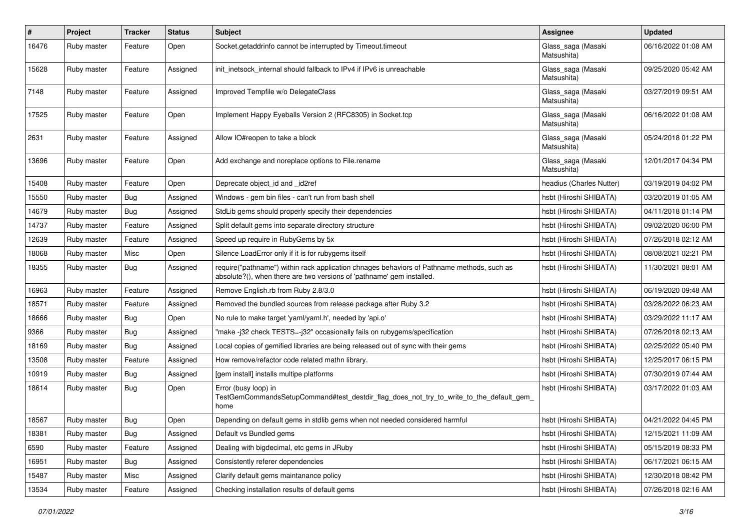| $\pmb{\#}$ | Project     | <b>Tracker</b> | <b>Status</b> | <b>Subject</b>                                                                                                                                                      | Assignee                          | <b>Updated</b>      |
|------------|-------------|----------------|---------------|---------------------------------------------------------------------------------------------------------------------------------------------------------------------|-----------------------------------|---------------------|
| 16476      | Ruby master | Feature        | Open          | Socket.getaddrinfo cannot be interrupted by Timeout.timeout                                                                                                         | Glass_saga (Masaki<br>Matsushita) | 06/16/2022 01:08 AM |
| 15628      | Ruby master | Feature        | Assigned      | init inetsock internal should fallback to IPv4 if IPv6 is unreachable                                                                                               | Glass_saga (Masaki<br>Matsushita) | 09/25/2020 05:42 AM |
| 7148       | Ruby master | Feature        | Assigned      | Improved Tempfile w/o DelegateClass                                                                                                                                 | Glass_saga (Masaki<br>Matsushita) | 03/27/2019 09:51 AM |
| 17525      | Ruby master | Feature        | Open          | Implement Happy Eyeballs Version 2 (RFC8305) in Socket.tcp                                                                                                          | Glass_saga (Masaki<br>Matsushita) | 06/16/2022 01:08 AM |
| 2631       | Ruby master | Feature        | Assigned      | Allow IO#reopen to take a block                                                                                                                                     | Glass_saga (Masaki<br>Matsushita) | 05/24/2018 01:22 PM |
| 13696      | Ruby master | Feature        | Open          | Add exchange and noreplace options to File.rename                                                                                                                   | Glass_saga (Masaki<br>Matsushita) | 12/01/2017 04:34 PM |
| 15408      | Ruby master | Feature        | Open          | Deprecate object_id and _id2ref                                                                                                                                     | headius (Charles Nutter)          | 03/19/2019 04:02 PM |
| 15550      | Ruby master | Bug            | Assigned      | Windows - gem bin files - can't run from bash shell                                                                                                                 | hsbt (Hiroshi SHIBATA)            | 03/20/2019 01:05 AM |
| 14679      | Ruby master | <b>Bug</b>     | Assigned      | StdLib gems should properly specify their dependencies                                                                                                              | hsbt (Hiroshi SHIBATA)            | 04/11/2018 01:14 PM |
| 14737      | Ruby master | Feature        | Assigned      | Split default gems into separate directory structure                                                                                                                | hsbt (Hiroshi SHIBATA)            | 09/02/2020 06:00 PM |
| 12639      | Ruby master | Feature        | Assigned      | Speed up require in RubyGems by 5x                                                                                                                                  | hsbt (Hiroshi SHIBATA)            | 07/26/2018 02:12 AM |
| 18068      | Ruby master | Misc           | Open          | Silence LoadError only if it is for rubygems itself                                                                                                                 | hsbt (Hiroshi SHIBATA)            | 08/08/2021 02:21 PM |
| 18355      | Ruby master | <b>Bug</b>     | Assigned      | require("pathname") within rack application chnages behaviors of Pathname methods, such as<br>absolute?(), when there are two versions of 'pathname' gem installed. | hsbt (Hiroshi SHIBATA)            | 11/30/2021 08:01 AM |
| 16963      | Ruby master | Feature        | Assigned      | Remove English.rb from Ruby 2.8/3.0                                                                                                                                 | hsbt (Hiroshi SHIBATA)            | 06/19/2020 09:48 AM |
| 18571      | Ruby master | Feature        | Assigned      | Removed the bundled sources from release package after Ruby 3.2                                                                                                     | hsbt (Hiroshi SHIBATA)            | 03/28/2022 06:23 AM |
| 18666      | Ruby master | Bug            | Open          | No rule to make target 'yaml/yaml.h', needed by 'api.o'                                                                                                             | hsbt (Hiroshi SHIBATA)            | 03/29/2022 11:17 AM |
| 9366       | Ruby master | <b>Bug</b>     | Assigned      | 'make -j32 check TESTS=-j32" occasionally fails on rubygems/specification                                                                                           | hsbt (Hiroshi SHIBATA)            | 07/26/2018 02:13 AM |
| 18169      | Ruby master | <b>Bug</b>     | Assigned      | Local copies of gemified libraries are being released out of sync with their gems                                                                                   | hsbt (Hiroshi SHIBATA)            | 02/25/2022 05:40 PM |
| 13508      | Ruby master | Feature        | Assigned      | How remove/refactor code related mathn library.                                                                                                                     | hsbt (Hiroshi SHIBATA)            | 12/25/2017 06:15 PM |
| 10919      | Ruby master | <b>Bug</b>     | Assigned      | [gem install] installs multipe platforms                                                                                                                            | hsbt (Hiroshi SHIBATA)            | 07/30/2019 07:44 AM |
| 18614      | Ruby master | Bug            | Open          | Error (busy loop) in<br>TestGemCommandsSetupCommand#test_destdir_flag_does_not_try_to_write_to_the_default_gem_<br>home                                             | hsbt (Hiroshi SHIBATA)            | 03/17/2022 01:03 AM |
| 18567      | Ruby master | Bug            | Open          | Depending on default gems in stdlib gems when not needed considered harmful                                                                                         | hsbt (Hiroshi SHIBATA)            | 04/21/2022 04:45 PM |
| 18381      | Ruby master | <b>Bug</b>     | Assigned      | Default vs Bundled gems                                                                                                                                             | hsbt (Hiroshi SHIBATA)            | 12/15/2021 11:09 AM |
| 6590       | Ruby master | Feature        | Assigned      | Dealing with bigdecimal, etc gems in JRuby                                                                                                                          | hsbt (Hiroshi SHIBATA)            | 05/15/2019 08:33 PM |
| 16951      | Ruby master | <b>Bug</b>     | Assigned      | Consistently referer dependencies                                                                                                                                   | hsbt (Hiroshi SHIBATA)            | 06/17/2021 06:15 AM |
| 15487      | Ruby master | Misc           | Assigned      | Clarify default gems maintanance policy                                                                                                                             | hsbt (Hiroshi SHIBATA)            | 12/30/2018 08:42 PM |
| 13534      | Ruby master | Feature        | Assigned      | Checking installation results of default gems                                                                                                                       | hsbt (Hiroshi SHIBATA)            | 07/26/2018 02:16 AM |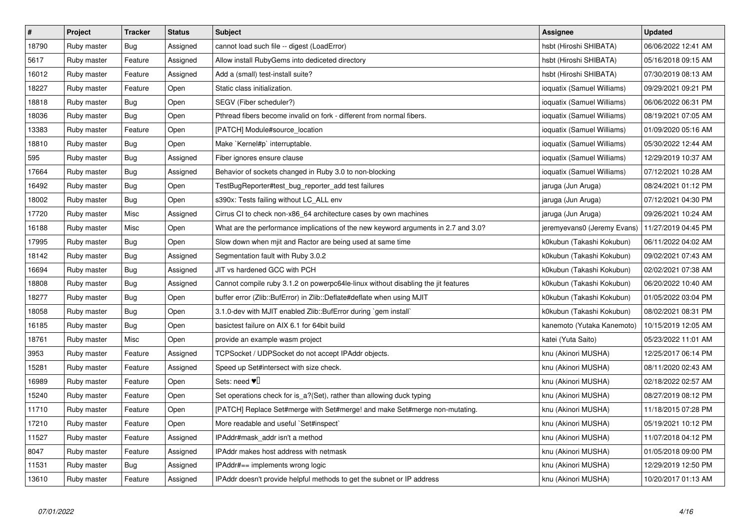| $\sharp$ | Project     | <b>Tracker</b> | <b>Status</b> | <b>Subject</b>                                                                     | <b>Assignee</b>             | <b>Updated</b>      |
|----------|-------------|----------------|---------------|------------------------------------------------------------------------------------|-----------------------------|---------------------|
| 18790    | Ruby master | <b>Bug</b>     | Assigned      | cannot load such file -- digest (LoadError)                                        | hsbt (Hiroshi SHIBATA)      | 06/06/2022 12:41 AM |
| 5617     | Ruby master | Feature        | Assigned      | Allow install RubyGems into dediceted directory                                    | hsbt (Hiroshi SHIBATA)      | 05/16/2018 09:15 AM |
| 16012    | Ruby master | Feature        | Assigned      | Add a (small) test-install suite?                                                  | hsbt (Hiroshi SHIBATA)      | 07/30/2019 08:13 AM |
| 18227    | Ruby master | Feature        | Open          | Static class initialization.                                                       | ioquatix (Samuel Williams)  | 09/29/2021 09:21 PM |
| 18818    | Ruby master | <b>Bug</b>     | Open          | SEGV (Fiber scheduler?)                                                            | ioquatix (Samuel Williams)  | 06/06/2022 06:31 PM |
| 18036    | Ruby master | <b>Bug</b>     | Open          | Pthread fibers become invalid on fork - different from normal fibers.              | ioquatix (Samuel Williams)  | 08/19/2021 07:05 AM |
| 13383    | Ruby master | Feature        | Open          | [PATCH] Module#source location                                                     | ioquatix (Samuel Williams)  | 01/09/2020 05:16 AM |
| 18810    | Ruby master | <b>Bug</b>     | Open          | Make `Kernel#p` interruptable.                                                     | ioquatix (Samuel Williams)  | 05/30/2022 12:44 AM |
| 595      | Ruby master | Bug            | Assigned      | Fiber ignores ensure clause                                                        | ioquatix (Samuel Williams)  | 12/29/2019 10:37 AM |
| 17664    | Ruby master | Bug            | Assigned      | Behavior of sockets changed in Ruby 3.0 to non-blocking                            | ioquatix (Samuel Williams)  | 07/12/2021 10:28 AM |
| 16492    | Ruby master | <b>Bug</b>     | Open          | TestBugReporter#test_bug_reporter_add test failures                                | jaruga (Jun Aruga)          | 08/24/2021 01:12 PM |
| 18002    | Ruby master | <b>Bug</b>     | Open          | s390x: Tests failing without LC ALL env                                            | jaruga (Jun Aruga)          | 07/12/2021 04:30 PM |
| 17720    | Ruby master | Misc           | Assigned      | Cirrus CI to check non-x86_64 architecture cases by own machines                   | jaruga (Jun Aruga)          | 09/26/2021 10:24 AM |
| 16188    | Ruby master | Misc           | Open          | What are the performance implications of the new keyword arguments in 2.7 and 3.0? | jeremyevans0 (Jeremy Evans) | 11/27/2019 04:45 PM |
| 17995    | Ruby master | <b>Bug</b>     | Open          | Slow down when mjit and Ractor are being used at same time                         | k0kubun (Takashi Kokubun)   | 06/11/2022 04:02 AM |
| 18142    | Ruby master | Bug            | Assigned      | Segmentation fault with Ruby 3.0.2                                                 | k0kubun (Takashi Kokubun)   | 09/02/2021 07:43 AM |
| 16694    | Ruby master | <b>Bug</b>     | Assigned      | JIT vs hardened GCC with PCH                                                       | k0kubun (Takashi Kokubun)   | 02/02/2021 07:38 AM |
| 18808    | Ruby master | Bug            | Assigned      | Cannot compile ruby 3.1.2 on powerpc64le-linux without disabling the jit features  | k0kubun (Takashi Kokubun)   | 06/20/2022 10:40 AM |
| 18277    | Ruby master | <b>Bug</b>     | Open          | buffer error (Zlib::BufError) in Zlib::Deflate#deflate when using MJIT             | k0kubun (Takashi Kokubun)   | 01/05/2022 03:04 PM |
| 18058    | Ruby master | <b>Bug</b>     | Open          | 3.1.0-dev with MJIT enabled Zlib::BufError during `gem install                     | k0kubun (Takashi Kokubun)   | 08/02/2021 08:31 PM |
| 16185    | Ruby master | <b>Bug</b>     | Open          | basictest failure on AIX 6.1 for 64bit build                                       | kanemoto (Yutaka Kanemoto)  | 10/15/2019 12:05 AM |
| 18761    | Ruby master | Misc           | Open          | provide an example wasm project                                                    | katei (Yuta Saito)          | 05/23/2022 11:01 AM |
| 3953     | Ruby master | Feature        | Assigned      | TCPSocket / UDPSocket do not accept IPAddr objects.                                | knu (Akinori MUSHA)         | 12/25/2017 06:14 PM |
| 15281    | Ruby master | Feature        | Assigned      | Speed up Set#intersect with size check.                                            | knu (Akinori MUSHA)         | 08/11/2020 02:43 AM |
| 16989    | Ruby master | Feature        | Open          | Sets: need $\Psi$                                                                  | knu (Akinori MUSHA)         | 02/18/2022 02:57 AM |
| 15240    | Ruby master | Feature        | Open          | Set operations check for is_a?(Set), rather than allowing duck typing              | knu (Akinori MUSHA)         | 08/27/2019 08:12 PM |
| 11710    | Ruby master | Feature        | Open          | [PATCH] Replace Set#merge with Set#merge! and make Set#merge non-mutating.         | knu (Akinori MUSHA)         | 11/18/2015 07:28 PM |
| 17210    | Ruby master | Feature        | Open          | More readable and useful `Set#inspect`                                             | knu (Akinori MUSHA)         | 05/19/2021 10:12 PM |
| 11527    | Ruby master | Feature        | Assigned      | IPAddr#mask_addr isn't a method                                                    | knu (Akinori MUSHA)         | 11/07/2018 04:12 PM |
| 8047     | Ruby master | Feature        | Assigned      | IPAddr makes host address with netmask                                             | knu (Akinori MUSHA)         | 01/05/2018 09:00 PM |
| 11531    | Ruby master | Bug            | Assigned      | IPAddr#== implements wrong logic                                                   | knu (Akinori MUSHA)         | 12/29/2019 12:50 PM |
| 13610    | Ruby master | Feature        | Assigned      | IPAddr doesn't provide helpful methods to get the subnet or IP address             | knu (Akinori MUSHA)         | 10/20/2017 01:13 AM |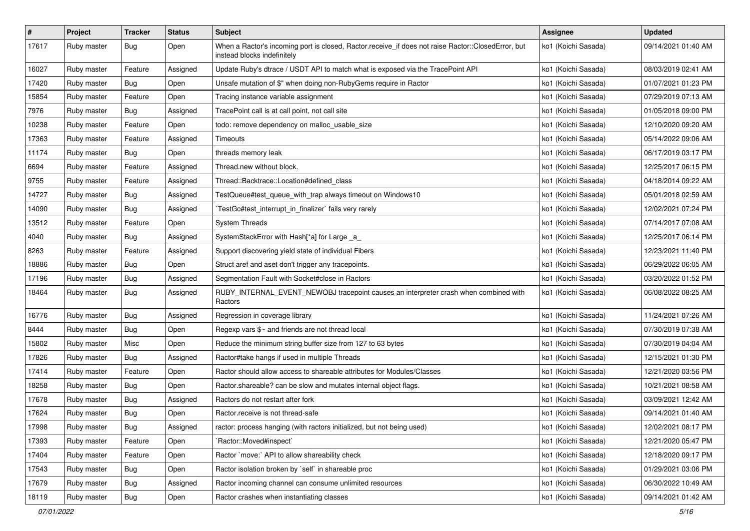| $\sharp$ | Project     | <b>Tracker</b> | <b>Status</b> | <b>Subject</b>                                                                                                                    | Assignee            | <b>Updated</b>      |
|----------|-------------|----------------|---------------|-----------------------------------------------------------------------------------------------------------------------------------|---------------------|---------------------|
| 17617    | Ruby master | Bug            | Open          | When a Ractor's incoming port is closed, Ractor.receive_if does not raise Ractor::ClosedError, but<br>instead blocks indefinitely | ko1 (Koichi Sasada) | 09/14/2021 01:40 AM |
| 16027    | Ruby master | Feature        | Assigned      | Update Ruby's dtrace / USDT API to match what is exposed via the TracePoint API                                                   | ko1 (Koichi Sasada) | 08/03/2019 02:41 AM |
| 17420    | Ruby master | <b>Bug</b>     | Open          | Unsafe mutation of \$" when doing non-RubyGems require in Ractor                                                                  | ko1 (Koichi Sasada) | 01/07/2021 01:23 PM |
| 15854    | Ruby master | Feature        | Open          | Tracing instance variable assignment                                                                                              | ko1 (Koichi Sasada) | 07/29/2019 07:13 AM |
| 7976     | Ruby master | Bug            | Assigned      | TracePoint call is at call point, not call site                                                                                   | ko1 (Koichi Sasada) | 01/05/2018 09:00 PM |
| 10238    | Ruby master | Feature        | Open          | todo: remove dependency on malloc_usable_size                                                                                     | ko1 (Koichi Sasada) | 12/10/2020 09:20 AM |
| 17363    | Ruby master | Feature        | Assigned      | Timeouts                                                                                                                          | ko1 (Koichi Sasada) | 05/14/2022 09:06 AM |
| 11174    | Ruby master | Bug            | Open          | threads memory leak                                                                                                               | ko1 (Koichi Sasada) | 06/17/2019 03:17 PM |
| 6694     | Ruby master | Feature        | Assigned      | Thread.new without block.                                                                                                         | ko1 (Koichi Sasada) | 12/25/2017 06:15 PM |
| 9755     | Ruby master | Feature        | Assigned      | Thread::Backtrace::Location#defined class                                                                                         | ko1 (Koichi Sasada) | 04/18/2014 09:22 AM |
| 14727    | Ruby master | <b>Bug</b>     | Assigned      | TestQueue#test_queue_with_trap always timeout on Windows10                                                                        | ko1 (Koichi Sasada) | 05/01/2018 02:59 AM |
| 14090    | Ruby master | <b>Bug</b>     | Assigned      | TestGc#test_interrupt_in_finalizer` fails very rarely                                                                             | ko1 (Koichi Sasada) | 12/02/2021 07:24 PM |
| 13512    | Ruby master | Feature        | Open          | <b>System Threads</b>                                                                                                             | ko1 (Koichi Sasada) | 07/14/2017 07:08 AM |
| 4040     | Ruby master | Bug            | Assigned      | SystemStackError with Hash[*a] for Large _a_                                                                                      | ko1 (Koichi Sasada) | 12/25/2017 06:14 PM |
| 8263     | Ruby master | Feature        | Assigned      | Support discovering yield state of individual Fibers                                                                              | ko1 (Koichi Sasada) | 12/23/2021 11:40 PM |
| 18886    | Ruby master | Bug            | Open          | Struct aref and aset don't trigger any tracepoints.                                                                               | ko1 (Koichi Sasada) | 06/29/2022 06:05 AM |
| 17196    | Ruby master | Bug            | Assigned      | Segmentation Fault with Socket#close in Ractors                                                                                   | ko1 (Koichi Sasada) | 03/20/2022 01:52 PM |
| 18464    | Ruby master | Bug            | Assigned      | RUBY_INTERNAL_EVENT_NEWOBJ tracepoint causes an interpreter crash when combined with<br>Ractors                                   | ko1 (Koichi Sasada) | 06/08/2022 08:25 AM |
| 16776    | Ruby master | <b>Bug</b>     | Assigned      | Regression in coverage library                                                                                                    | ko1 (Koichi Sasada) | 11/24/2021 07:26 AM |
| 8444     | Ruby master | <b>Bug</b>     | Open          | Regexp vars \$~ and friends are not thread local                                                                                  | ko1 (Koichi Sasada) | 07/30/2019 07:38 AM |
| 15802    | Ruby master | Misc           | Open          | Reduce the minimum string buffer size from 127 to 63 bytes                                                                        | ko1 (Koichi Sasada) | 07/30/2019 04:04 AM |
| 17826    | Ruby master | Bug            | Assigned      | Ractor#take hangs if used in multiple Threads                                                                                     | ko1 (Koichi Sasada) | 12/15/2021 01:30 PM |
| 17414    | Ruby master | Feature        | Open          | Ractor should allow access to shareable attributes for Modules/Classes                                                            | ko1 (Koichi Sasada) | 12/21/2020 03:56 PM |
| 18258    | Ruby master | <b>Bug</b>     | Open          | Ractor shareable? can be slow and mutates internal object flags.                                                                  | ko1 (Koichi Sasada) | 10/21/2021 08:58 AM |
| 17678    | Ruby master | <b>Bug</b>     | Assigned      | Ractors do not restart after fork                                                                                                 | ko1 (Koichi Sasada) | 03/09/2021 12:42 AM |
| 17624    | Ruby master | <b>Bug</b>     | Open          | Ractor.receive is not thread-safe                                                                                                 | ko1 (Koichi Sasada) | 09/14/2021 01:40 AM |
| 17998    | Ruby master | Bug            | Assigned      | ractor: process hanging (with ractors initialized, but not being used)                                                            | ko1 (Koichi Sasada) | 12/02/2021 08:17 PM |
| 17393    | Ruby master | Feature        | Open          | 'Ractor::Moved#inspect'                                                                                                           | ko1 (Koichi Sasada) | 12/21/2020 05:47 PM |
| 17404    | Ruby master | Feature        | Open          | Ractor `move:` API to allow shareability check                                                                                    | ko1 (Koichi Sasada) | 12/18/2020 09:17 PM |
| 17543    | Ruby master | Bug            | Open          | Ractor isolation broken by `self` in shareable proc                                                                               | ko1 (Koichi Sasada) | 01/29/2021 03:06 PM |
| 17679    | Ruby master | Bug            | Assigned      | Ractor incoming channel can consume unlimited resources                                                                           | ko1 (Koichi Sasada) | 06/30/2022 10:49 AM |
| 18119    | Ruby master | Bug            | Open          | Ractor crashes when instantiating classes                                                                                         | ko1 (Koichi Sasada) | 09/14/2021 01:42 AM |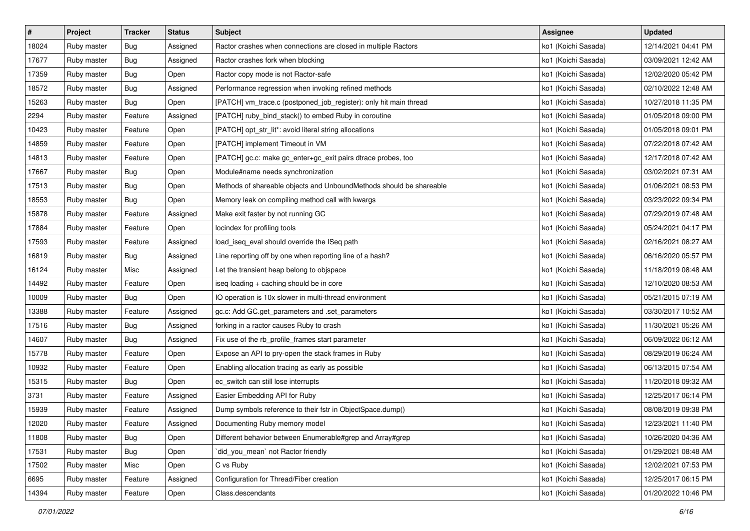| $\sharp$ | Project     | <b>Tracker</b> | <b>Status</b> | <b>Subject</b>                                                      | <b>Assignee</b>     | <b>Updated</b>      |
|----------|-------------|----------------|---------------|---------------------------------------------------------------------|---------------------|---------------------|
| 18024    | Ruby master | <b>Bug</b>     | Assigned      | Ractor crashes when connections are closed in multiple Ractors      | ko1 (Koichi Sasada) | 12/14/2021 04:41 PM |
| 17677    | Ruby master | Bug            | Assigned      | Ractor crashes fork when blocking                                   | ko1 (Koichi Sasada) | 03/09/2021 12:42 AM |
| 17359    | Ruby master | <b>Bug</b>     | Open          | Ractor copy mode is not Ractor-safe                                 | ko1 (Koichi Sasada) | 12/02/2020 05:42 PM |
| 18572    | Ruby master | <b>Bug</b>     | Assigned      | Performance regression when invoking refined methods                | ko1 (Koichi Sasada) | 02/10/2022 12:48 AM |
| 15263    | Ruby master | Bug            | Open          | [PATCH] vm_trace.c (postponed_job_register): only hit main thread   | ko1 (Koichi Sasada) | 10/27/2018 11:35 PM |
| 2294     | Ruby master | Feature        | Assigned      | [PATCH] ruby_bind_stack() to embed Ruby in coroutine                | ko1 (Koichi Sasada) | 01/05/2018 09:00 PM |
| 10423    | Ruby master | Feature        | Open          | [PATCH] opt_str_lit*: avoid literal string allocations              | ko1 (Koichi Sasada) | 01/05/2018 09:01 PM |
| 14859    | Ruby master | Feature        | Open          | [PATCH] implement Timeout in VM                                     | ko1 (Koichi Sasada) | 07/22/2018 07:42 AM |
| 14813    | Ruby master | Feature        | Open          | [PATCH] gc.c: make gc_enter+gc_exit pairs dtrace probes, too        | ko1 (Koichi Sasada) | 12/17/2018 07:42 AM |
| 17667    | Ruby master | <b>Bug</b>     | Open          | Module#name needs synchronization                                   | ko1 (Koichi Sasada) | 03/02/2021 07:31 AM |
| 17513    | Ruby master | <b>Bug</b>     | Open          | Methods of shareable objects and UnboundMethods should be shareable | ko1 (Koichi Sasada) | 01/06/2021 08:53 PM |
| 18553    | Ruby master | <b>Bug</b>     | Open          | Memory leak on compiling method call with kwargs                    | ko1 (Koichi Sasada) | 03/23/2022 09:34 PM |
| 15878    | Ruby master | Feature        | Assigned      | Make exit faster by not running GC                                  | ko1 (Koichi Sasada) | 07/29/2019 07:48 AM |
| 17884    | Ruby master | Feature        | Open          | locindex for profiling tools                                        | ko1 (Koichi Sasada) | 05/24/2021 04:17 PM |
| 17593    | Ruby master | Feature        | Assigned      | load_iseq_eval should override the ISeq path                        | ko1 (Koichi Sasada) | 02/16/2021 08:27 AM |
| 16819    | Ruby master | <b>Bug</b>     | Assigned      | Line reporting off by one when reporting line of a hash?            | ko1 (Koichi Sasada) | 06/16/2020 05:57 PM |
| 16124    | Ruby master | Misc           | Assigned      | Let the transient heap belong to objspace                           | ko1 (Koichi Sasada) | 11/18/2019 08:48 AM |
| 14492    | Ruby master | Feature        | Open          | iseq loading + caching should be in core                            | ko1 (Koichi Sasada) | 12/10/2020 08:53 AM |
| 10009    | Ruby master | <b>Bug</b>     | Open          | IO operation is 10x slower in multi-thread environment              | ko1 (Koichi Sasada) | 05/21/2015 07:19 AM |
| 13388    | Ruby master | Feature        | Assigned      | gc.c: Add GC.get_parameters and .set_parameters                     | ko1 (Koichi Sasada) | 03/30/2017 10:52 AM |
| 17516    | Ruby master | <b>Bug</b>     | Assigned      | forking in a ractor causes Ruby to crash                            | ko1 (Koichi Sasada) | 11/30/2021 05:26 AM |
| 14607    | Ruby master | <b>Bug</b>     | Assigned      | Fix use of the rb_profile_frames start parameter                    | ko1 (Koichi Sasada) | 06/09/2022 06:12 AM |
| 15778    | Ruby master | Feature        | Open          | Expose an API to pry-open the stack frames in Ruby                  | ko1 (Koichi Sasada) | 08/29/2019 06:24 AM |
| 10932    | Ruby master | Feature        | Open          | Enabling allocation tracing as early as possible                    | ko1 (Koichi Sasada) | 06/13/2015 07:54 AM |
| 15315    | Ruby master | <b>Bug</b>     | Open          | ec_switch can still lose interrupts                                 | ko1 (Koichi Sasada) | 11/20/2018 09:32 AM |
| 3731     | Ruby master | Feature        | Assigned      | Easier Embedding API for Ruby                                       | ko1 (Koichi Sasada) | 12/25/2017 06:14 PM |
| 15939    | Ruby master | Feature        | Assigned      | Dump symbols reference to their fstr in ObjectSpace.dump()          | ko1 (Koichi Sasada) | 08/08/2019 09:38 PM |
| 12020    | Ruby master | Feature        | Assigned      | Documenting Ruby memory model                                       | ko1 (Koichi Sasada) | 12/23/2021 11:40 PM |
| 11808    | Ruby master | Bug            | Open          | Different behavior between Enumerable#grep and Array#grep           | ko1 (Koichi Sasada) | 10/26/2020 04:36 AM |
| 17531    | Ruby master | Bug            | Open          | did_you_mean` not Ractor friendly                                   | ko1 (Koichi Sasada) | 01/29/2021 08:48 AM |
| 17502    | Ruby master | Misc           | Open          | C vs Ruby                                                           | ko1 (Koichi Sasada) | 12/02/2021 07:53 PM |
| 6695     | Ruby master | Feature        | Assigned      | Configuration for Thread/Fiber creation                             | ko1 (Koichi Sasada) | 12/25/2017 06:15 PM |
| 14394    | Ruby master | Feature        | Open          | Class.descendants                                                   | ko1 (Koichi Sasada) | 01/20/2022 10:46 PM |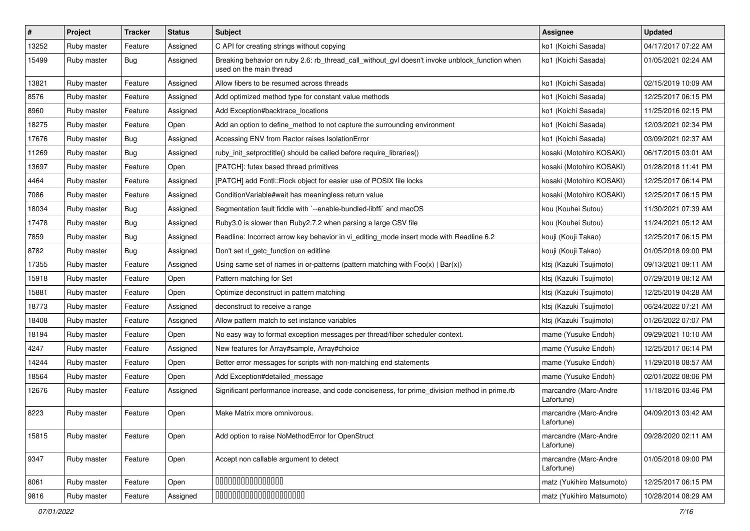| #     | Project     | <b>Tracker</b> | <b>Status</b> | Subject                                                                                                                   | <b>Assignee</b>                     | <b>Updated</b>      |
|-------|-------------|----------------|---------------|---------------------------------------------------------------------------------------------------------------------------|-------------------------------------|---------------------|
| 13252 | Ruby master | Feature        | Assigned      | C API for creating strings without copying                                                                                | ko1 (Koichi Sasada)                 | 04/17/2017 07:22 AM |
| 15499 | Ruby master | <b>Bug</b>     | Assigned      | Breaking behavior on ruby 2.6: rb_thread_call_without_gvl doesn't invoke unblock_function when<br>used on the main thread | ko1 (Koichi Sasada)                 | 01/05/2021 02:24 AM |
| 13821 | Ruby master | Feature        | Assigned      | Allow fibers to be resumed across threads                                                                                 | ko1 (Koichi Sasada)                 | 02/15/2019 10:09 AM |
| 8576  | Ruby master | Feature        | Assigned      | Add optimized method type for constant value methods                                                                      | ko1 (Koichi Sasada)                 | 12/25/2017 06:15 PM |
| 8960  | Ruby master | Feature        | Assigned      | Add Exception#backtrace locations                                                                                         | ko1 (Koichi Sasada)                 | 11/25/2016 02:15 PM |
| 18275 | Ruby master | Feature        | Open          | Add an option to define_method to not capture the surrounding environment                                                 | ko1 (Koichi Sasada)                 | 12/03/2021 02:34 PM |
| 17676 | Ruby master | Bug            | Assigned      | Accessing ENV from Ractor raises IsolationError                                                                           | ko1 (Koichi Sasada)                 | 03/09/2021 02:37 AM |
| 11269 | Ruby master | <b>Bug</b>     | Assigned      | ruby init setproctitle() should be called before require libraries()                                                      | kosaki (Motohiro KOSAKI)            | 06/17/2015 03:01 AM |
| 13697 | Ruby master | Feature        | Open          | [PATCH]: futex based thread primitives                                                                                    | kosaki (Motohiro KOSAKI)            | 01/28/2018 11:41 PM |
| 4464  | Ruby master | Feature        | Assigned      | [PATCH] add Fcntl:: Flock object for easier use of POSIX file locks                                                       | kosaki (Motohiro KOSAKI)            | 12/25/2017 06:14 PM |
| 7086  | Ruby master | Feature        | Assigned      | Condition Variable#wait has meaningless return value                                                                      | kosaki (Motohiro KOSAKI)            | 12/25/2017 06:15 PM |
| 18034 | Ruby master | <b>Bug</b>     | Assigned      | Segmentation fault fiddle with `--enable-bundled-libffi` and macOS                                                        | kou (Kouhei Sutou)                  | 11/30/2021 07:39 AM |
| 17478 | Ruby master | <b>Bug</b>     | Assigned      | Ruby3.0 is slower than Ruby2.7.2 when parsing a large CSV file                                                            | kou (Kouhei Sutou)                  | 11/24/2021 05:12 AM |
| 7859  | Ruby master | <b>Bug</b>     | Assigned      | Readline: Incorrect arrow key behavior in vi_editing_mode insert mode with Readline 6.2                                   | kouji (Kouji Takao)                 | 12/25/2017 06:15 PM |
| 8782  | Ruby master | <b>Bug</b>     | Assigned      | Don't set rl_getc_function on editline                                                                                    | kouji (Kouji Takao)                 | 01/05/2018 09:00 PM |
| 17355 | Ruby master | Feature        | Assigned      | Using same set of names in or-patterns (pattern matching with $Foo(x)   Bar(x)$ )                                         | ktsj (Kazuki Tsujimoto)             | 09/13/2021 09:11 AM |
| 15918 | Ruby master | Feature        | Open          | Pattern matching for Set                                                                                                  | ktsj (Kazuki Tsujimoto)             | 07/29/2019 08:12 AM |
| 15881 | Ruby master | Feature        | Open          | Optimize deconstruct in pattern matching                                                                                  | ktsj (Kazuki Tsujimoto)             | 12/25/2019 04:28 AM |
| 18773 | Ruby master | Feature        | Assigned      | deconstruct to receive a range                                                                                            | ktsj (Kazuki Tsujimoto)             | 06/24/2022 07:21 AM |
| 18408 | Ruby master | Feature        | Assigned      | Allow pattern match to set instance variables                                                                             | ktsj (Kazuki Tsujimoto)             | 01/26/2022 07:07 PM |
| 18194 | Ruby master | Feature        | Open          | No easy way to format exception messages per thread/fiber scheduler context.                                              | mame (Yusuke Endoh)                 | 09/29/2021 10:10 AM |
| 4247  | Ruby master | Feature        | Assigned      | New features for Array#sample, Array#choice                                                                               | mame (Yusuke Endoh)                 | 12/25/2017 06:14 PM |
| 14244 | Ruby master | Feature        | Open          | Better error messages for scripts with non-matching end statements                                                        | mame (Yusuke Endoh)                 | 11/29/2018 08:57 AM |
| 18564 | Ruby master | Feature        | Open          | Add Exception#detailed_message                                                                                            | mame (Yusuke Endoh)                 | 02/01/2022 08:06 PM |
| 12676 | Ruby master | Feature        | Assigned      | Significant performance increase, and code conciseness, for prime_division method in prime.rb                             | marcandre (Marc-Andre<br>Lafortune) | 11/18/2016 03:46 PM |
| 8223  | Ruby master | Feature        | Open          | Make Matrix more omnivorous.                                                                                              | marcandre (Marc-Andre<br>Lafortune) | 04/09/2013 03:42 AM |
| 15815 | Ruby master | Feature        | Open          | Add option to raise NoMethodError for OpenStruct                                                                          | marcandre (Marc-Andre<br>Lafortune) | 09/28/2020 02:11 AM |
| 9347  | Ruby master | Feature        | Open          | Accept non callable argument to detect                                                                                    | marcandre (Marc-Andre<br>Lafortune) | 01/05/2018 09:00 PM |
| 8061  | Ruby master | Feature        | Open          | 00000000000000                                                                                                            | matz (Yukihiro Matsumoto)           | 12/25/2017 06:15 PM |
| 9816  | Ruby master | Feature        | Assigned      | 00000000000000000000                                                                                                      | matz (Yukihiro Matsumoto)           | 10/28/2014 08:29 AM |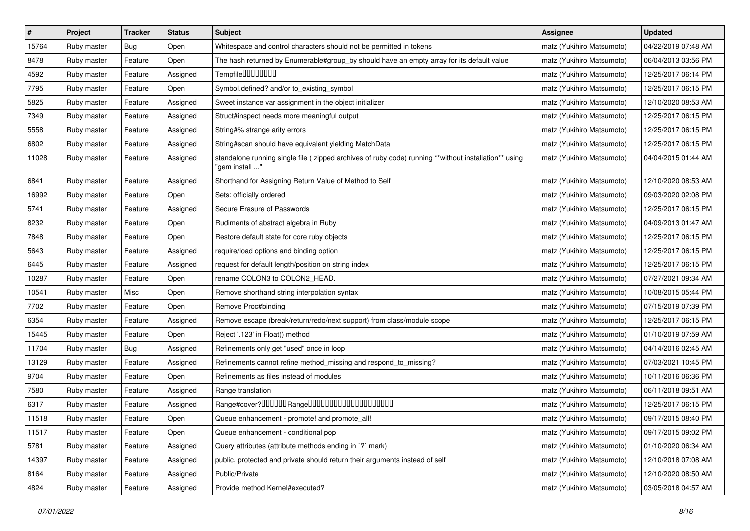| $\pmb{\#}$ | Project     | <b>Tracker</b> | <b>Status</b> | <b>Subject</b>                                                                                                         | <b>Assignee</b>           | <b>Updated</b>      |
|------------|-------------|----------------|---------------|------------------------------------------------------------------------------------------------------------------------|---------------------------|---------------------|
| 15764      | Ruby master | <b>Bug</b>     | Open          | Whitespace and control characters should not be permitted in tokens                                                    | matz (Yukihiro Matsumoto) | 04/22/2019 07:48 AM |
| 8478       | Ruby master | Feature        | Open          | The hash returned by Enumerable#group_by should have an empty array for its default value                              | matz (Yukihiro Matsumoto) | 06/04/2013 03:56 PM |
| 4592       | Ruby master | Feature        | Assigned      | Tempfile0000000                                                                                                        | matz (Yukihiro Matsumoto) | 12/25/2017 06:14 PM |
| 7795       | Ruby master | Feature        | Open          | Symbol.defined? and/or to_existing_symbol                                                                              | matz (Yukihiro Matsumoto) | 12/25/2017 06:15 PM |
| 5825       | Ruby master | Feature        | Assigned      | Sweet instance var assignment in the object initializer                                                                | matz (Yukihiro Matsumoto) | 12/10/2020 08:53 AM |
| 7349       | Ruby master | Feature        | Assigned      | Struct#inspect needs more meaningful output                                                                            | matz (Yukihiro Matsumoto) | 12/25/2017 06:15 PM |
| 5558       | Ruby master | Feature        | Assigned      | String#% strange arity errors                                                                                          | matz (Yukihiro Matsumoto) | 12/25/2017 06:15 PM |
| 6802       | Ruby master | Feature        | Assigned      | String#scan should have equivalent yielding MatchData                                                                  | matz (Yukihiro Matsumoto) | 12/25/2017 06:15 PM |
| 11028      | Ruby master | Feature        | Assigned      | standalone running single file (zipped archives of ruby code) running **without installation** using<br>"gem install " | matz (Yukihiro Matsumoto) | 04/04/2015 01:44 AM |
| 6841       | Ruby master | Feature        | Assigned      | Shorthand for Assigning Return Value of Method to Self                                                                 | matz (Yukihiro Matsumoto) | 12/10/2020 08:53 AM |
| 16992      | Ruby master | Feature        | Open          | Sets: officially ordered                                                                                               | matz (Yukihiro Matsumoto) | 09/03/2020 02:08 PM |
| 5741       | Ruby master | Feature        | Assigned      | Secure Erasure of Passwords                                                                                            | matz (Yukihiro Matsumoto) | 12/25/2017 06:15 PM |
| 8232       | Ruby master | Feature        | Open          | Rudiments of abstract algebra in Ruby                                                                                  | matz (Yukihiro Matsumoto) | 04/09/2013 01:47 AM |
| 7848       | Ruby master | Feature        | Open          | Restore default state for core ruby objects                                                                            | matz (Yukihiro Matsumoto) | 12/25/2017 06:15 PM |
| 5643       | Ruby master | Feature        | Assigned      | require/load options and binding option                                                                                | matz (Yukihiro Matsumoto) | 12/25/2017 06:15 PM |
| 6445       | Ruby master | Feature        | Assigned      | request for default length/position on string index                                                                    | matz (Yukihiro Matsumoto) | 12/25/2017 06:15 PM |
| 10287      | Ruby master | Feature        | Open          | rename COLON3 to COLON2_HEAD.                                                                                          | matz (Yukihiro Matsumoto) | 07/27/2021 09:34 AM |
| 10541      | Ruby master | Misc           | Open          | Remove shorthand string interpolation syntax                                                                           | matz (Yukihiro Matsumoto) | 10/08/2015 05:44 PM |
| 7702       | Ruby master | Feature        | Open          | Remove Proc#binding                                                                                                    | matz (Yukihiro Matsumoto) | 07/15/2019 07:39 PM |
| 6354       | Ruby master | Feature        | Assigned      | Remove escape (break/return/redo/next support) from class/module scope                                                 | matz (Yukihiro Matsumoto) | 12/25/2017 06:15 PM |
| 15445      | Ruby master | Feature        | Open          | Reject '.123' in Float() method                                                                                        | matz (Yukihiro Matsumoto) | 01/10/2019 07:59 AM |
| 11704      | Ruby master | Bug            | Assigned      | Refinements only get "used" once in loop                                                                               | matz (Yukihiro Matsumoto) | 04/14/2016 02:45 AM |
| 13129      | Ruby master | Feature        | Assigned      | Refinements cannot refine method_missing and respond_to_missing?                                                       | matz (Yukihiro Matsumoto) | 07/03/2021 10:45 PM |
| 9704       | Ruby master | Feature        | Open          | Refinements as files instead of modules                                                                                | matz (Yukihiro Matsumoto) | 10/11/2016 06:36 PM |
| 7580       | Ruby master | Feature        | Assigned      | Range translation                                                                                                      | matz (Yukihiro Matsumoto) | 06/11/2018 09:51 AM |
| 6317       | Ruby master | Feature        | Assigned      | Range#cover?000000Range00000000000000000000                                                                            | matz (Yukihiro Matsumoto) | 12/25/2017 06:15 PM |
| 11518      | Ruby master | Feature        | Open          | Queue enhancement - promote! and promote_all!                                                                          | matz (Yukihiro Matsumoto) | 09/17/2015 08:40 PM |
| 11517      | Ruby master | Feature        | Open          | Queue enhancement - conditional pop                                                                                    | matz (Yukihiro Matsumoto) | 09/17/2015 09:02 PM |
| 5781       | Ruby master | Feature        | Assigned      | Query attributes (attribute methods ending in `?` mark)                                                                | matz (Yukihiro Matsumoto) | 01/10/2020 06:34 AM |
| 14397      | Ruby master | Feature        | Assigned      | public, protected and private should return their arguments instead of self                                            | matz (Yukihiro Matsumoto) | 12/10/2018 07:08 AM |
| 8164       | Ruby master | Feature        | Assigned      | Public/Private                                                                                                         | matz (Yukihiro Matsumoto) | 12/10/2020 08:50 AM |
| 4824       | Ruby master | Feature        | Assigned      | Provide method Kernel#executed?                                                                                        | matz (Yukihiro Matsumoto) | 03/05/2018 04:57 AM |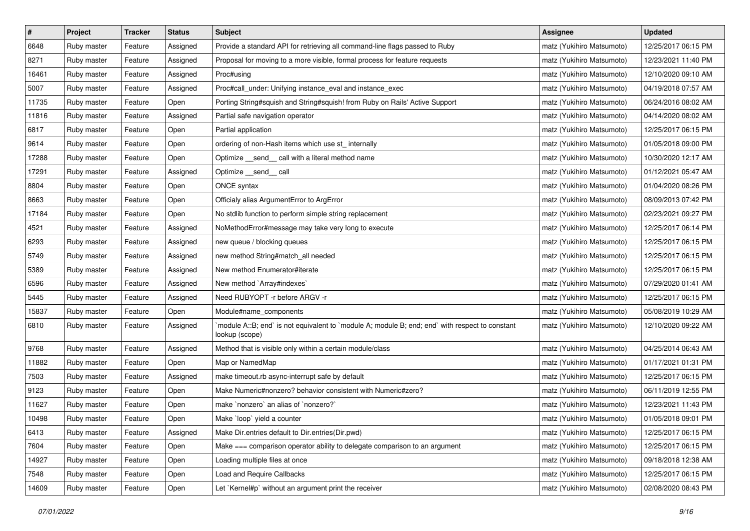| $\pmb{\#}$ | Project     | <b>Tracker</b> | <b>Status</b> | <b>Subject</b>                                                                                                   | <b>Assignee</b>           | <b>Updated</b>      |
|------------|-------------|----------------|---------------|------------------------------------------------------------------------------------------------------------------|---------------------------|---------------------|
| 6648       | Ruby master | Feature        | Assigned      | Provide a standard API for retrieving all command-line flags passed to Ruby                                      | matz (Yukihiro Matsumoto) | 12/25/2017 06:15 PM |
| 8271       | Ruby master | Feature        | Assigned      | Proposal for moving to a more visible, formal process for feature requests                                       | matz (Yukihiro Matsumoto) | 12/23/2021 11:40 PM |
| 16461      | Ruby master | Feature        | Assigned      | Proc#using                                                                                                       | matz (Yukihiro Matsumoto) | 12/10/2020 09:10 AM |
| 5007       | Ruby master | Feature        | Assigned      | Proc#call_under: Unifying instance_eval and instance_exec                                                        | matz (Yukihiro Matsumoto) | 04/19/2018 07:57 AM |
| 11735      | Ruby master | Feature        | Open          | Porting String#squish and String#squish! from Ruby on Rails' Active Support                                      | matz (Yukihiro Matsumoto) | 06/24/2016 08:02 AM |
| 11816      | Ruby master | Feature        | Assigned      | Partial safe navigation operator                                                                                 | matz (Yukihiro Matsumoto) | 04/14/2020 08:02 AM |
| 6817       | Ruby master | Feature        | Open          | Partial application                                                                                              | matz (Yukihiro Matsumoto) | 12/25/2017 06:15 PM |
| 9614       | Ruby master | Feature        | Open          | ordering of non-Hash items which use st_ internally                                                              | matz (Yukihiro Matsumoto) | 01/05/2018 09:00 PM |
| 17288      | Ruby master | Feature        | Open          | Optimize _send_ call with a literal method name                                                                  | matz (Yukihiro Matsumoto) | 10/30/2020 12:17 AM |
| 17291      | Ruby master | Feature        | Assigned      | Optimize __send__ call                                                                                           | matz (Yukihiro Matsumoto) | 01/12/2021 05:47 AM |
| 8804       | Ruby master | Feature        | Open          | ONCE syntax                                                                                                      | matz (Yukihiro Matsumoto) | 01/04/2020 08:26 PM |
| 8663       | Ruby master | Feature        | Open          | Officialy alias ArgumentError to ArgError                                                                        | matz (Yukihiro Matsumoto) | 08/09/2013 07:42 PM |
| 17184      | Ruby master | Feature        | Open          | No stdlib function to perform simple string replacement                                                          | matz (Yukihiro Matsumoto) | 02/23/2021 09:27 PM |
| 4521       | Ruby master | Feature        | Assigned      | NoMethodError#message may take very long to execute                                                              | matz (Yukihiro Matsumoto) | 12/25/2017 06:14 PM |
| 6293       | Ruby master | Feature        | Assigned      | new queue / blocking queues                                                                                      | matz (Yukihiro Matsumoto) | 12/25/2017 06:15 PM |
| 5749       | Ruby master | Feature        | Assigned      | new method String#match_all needed                                                                               | matz (Yukihiro Matsumoto) | 12/25/2017 06:15 PM |
| 5389       | Ruby master | Feature        | Assigned      | New method Enumerator#iterate                                                                                    | matz (Yukihiro Matsumoto) | 12/25/2017 06:15 PM |
| 6596       | Ruby master | Feature        | Assigned      | New method `Array#indexes`                                                                                       | matz (Yukihiro Matsumoto) | 07/29/2020 01:41 AM |
| 5445       | Ruby master | Feature        | Assigned      | Need RUBYOPT -r before ARGV -r                                                                                   | matz (Yukihiro Matsumoto) | 12/25/2017 06:15 PM |
| 15837      | Ruby master | Feature        | Open          | Module#name_components                                                                                           | matz (Yukihiro Matsumoto) | 05/08/2019 10:29 AM |
| 6810       | Ruby master | Feature        | Assigned      | module A::B; end` is not equivalent to `module A; module B; end; end` with respect to constant<br>lookup (scope) | matz (Yukihiro Matsumoto) | 12/10/2020 09:22 AM |
| 9768       | Ruby master | Feature        | Assigned      | Method that is visible only within a certain module/class                                                        | matz (Yukihiro Matsumoto) | 04/25/2014 06:43 AM |
| 11882      | Ruby master | Feature        | Open          | Map or NamedMap                                                                                                  | matz (Yukihiro Matsumoto) | 01/17/2021 01:31 PM |
| 7503       | Ruby master | Feature        | Assigned      | make timeout.rb async-interrupt safe by default                                                                  | matz (Yukihiro Matsumoto) | 12/25/2017 06:15 PM |
| 9123       | Ruby master | Feature        | Open          | Make Numeric#nonzero? behavior consistent with Numeric#zero?                                                     | matz (Yukihiro Matsumoto) | 06/11/2019 12:55 PM |
| 11627      | Ruby master | Feature        | Open          | make `nonzero` an alias of `nonzero?`                                                                            | matz (Yukihiro Matsumoto) | 12/23/2021 11:43 PM |
| 10498      | Ruby master | Feature        | Open          | Make `loop` yield a counter                                                                                      | matz (Yukihiro Matsumoto) | 01/05/2018 09:01 PM |
| 6413       | Ruby master | Feature        | Assigned      | Make Dir.entries default to Dir.entries(Dir.pwd)                                                                 | matz (Yukihiro Matsumoto) | 12/25/2017 06:15 PM |
| 7604       | Ruby master | Feature        | Open          | Make === comparison operator ability to delegate comparison to an argument                                       | matz (Yukihiro Matsumoto) | 12/25/2017 06:15 PM |
| 14927      | Ruby master | Feature        | Open          | Loading multiple files at once                                                                                   | matz (Yukihiro Matsumoto) | 09/18/2018 12:38 AM |
| 7548       | Ruby master | Feature        | Open          | Load and Require Callbacks                                                                                       | matz (Yukihiro Matsumoto) | 12/25/2017 06:15 PM |
| 14609      | Ruby master | Feature        | Open          | Let `Kernel#p` without an argument print the receiver                                                            | matz (Yukihiro Matsumoto) | 02/08/2020 08:43 PM |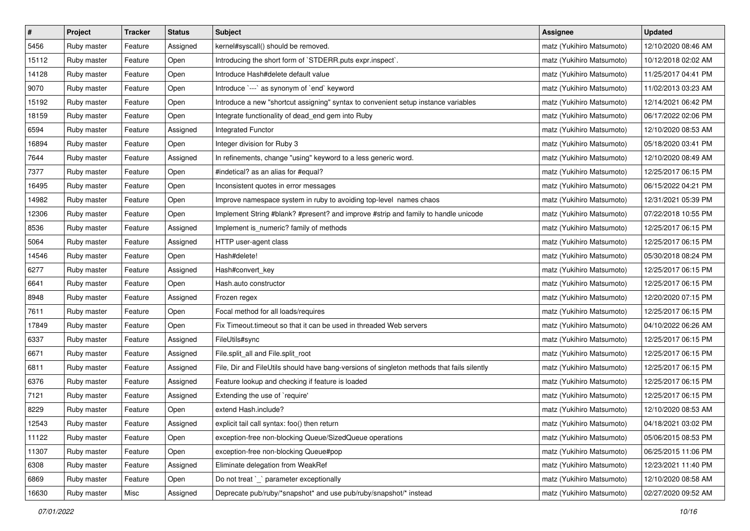| $\pmb{\#}$ | Project     | <b>Tracker</b> | <b>Status</b> | <b>Subject</b>                                                                             | <b>Assignee</b>           | <b>Updated</b>      |
|------------|-------------|----------------|---------------|--------------------------------------------------------------------------------------------|---------------------------|---------------------|
| 5456       | Ruby master | Feature        | Assigned      | kernel#syscall() should be removed.                                                        | matz (Yukihiro Matsumoto) | 12/10/2020 08:46 AM |
| 15112      | Ruby master | Feature        | Open          | Introducing the short form of `STDERR.puts expr.inspect`.                                  | matz (Yukihiro Matsumoto) | 10/12/2018 02:02 AM |
| 14128      | Ruby master | Feature        | Open          | Introduce Hash#delete default value                                                        | matz (Yukihiro Matsumoto) | 11/25/2017 04:41 PM |
| 9070       | Ruby master | Feature        | Open          | Introduce `---` as synonym of `end` keyword                                                | matz (Yukihiro Matsumoto) | 11/02/2013 03:23 AM |
| 15192      | Ruby master | Feature        | Open          | Introduce a new "shortcut assigning" syntax to convenient setup instance variables         | matz (Yukihiro Matsumoto) | 12/14/2021 06:42 PM |
| 18159      | Ruby master | Feature        | Open          | Integrate functionality of dead_end gem into Ruby                                          | matz (Yukihiro Matsumoto) | 06/17/2022 02:06 PM |
| 6594       | Ruby master | Feature        | Assigned      | Integrated Functor                                                                         | matz (Yukihiro Matsumoto) | 12/10/2020 08:53 AM |
| 16894      | Ruby master | Feature        | Open          | Integer division for Ruby 3                                                                | matz (Yukihiro Matsumoto) | 05/18/2020 03:41 PM |
| 7644       | Ruby master | Feature        | Assigned      | In refinements, change "using" keyword to a less generic word.                             | matz (Yukihiro Matsumoto) | 12/10/2020 08:49 AM |
| 7377       | Ruby master | Feature        | Open          | #indetical? as an alias for #equal?                                                        | matz (Yukihiro Matsumoto) | 12/25/2017 06:15 PM |
| 16495      | Ruby master | Feature        | Open          | Inconsistent quotes in error messages                                                      | matz (Yukihiro Matsumoto) | 06/15/2022 04:21 PM |
| 14982      | Ruby master | Feature        | Open          | Improve namespace system in ruby to avoiding top-level names chaos                         | matz (Yukihiro Matsumoto) | 12/31/2021 05:39 PM |
| 12306      | Ruby master | Feature        | Open          | Implement String #blank? #present? and improve #strip and family to handle unicode         | matz (Yukihiro Matsumoto) | 07/22/2018 10:55 PM |
| 8536       | Ruby master | Feature        | Assigned      | Implement is_numeric? family of methods                                                    | matz (Yukihiro Matsumoto) | 12/25/2017 06:15 PM |
| 5064       | Ruby master | Feature        | Assigned      | HTTP user-agent class                                                                      | matz (Yukihiro Matsumoto) | 12/25/2017 06:15 PM |
| 14546      | Ruby master | Feature        | Open          | Hash#delete!                                                                               | matz (Yukihiro Matsumoto) | 05/30/2018 08:24 PM |
| 6277       | Ruby master | Feature        | Assigned      | Hash#convert_key                                                                           | matz (Yukihiro Matsumoto) | 12/25/2017 06:15 PM |
| 6641       | Ruby master | Feature        | Open          | Hash.auto constructor                                                                      | matz (Yukihiro Matsumoto) | 12/25/2017 06:15 PM |
| 8948       | Ruby master | Feature        | Assigned      | Frozen regex                                                                               | matz (Yukihiro Matsumoto) | 12/20/2020 07:15 PM |
| 7611       | Ruby master | Feature        | Open          | Focal method for all loads/requires                                                        | matz (Yukihiro Matsumoto) | 12/25/2017 06:15 PM |
| 17849      | Ruby master | Feature        | Open          | Fix Timeout timeout so that it can be used in threaded Web servers                         | matz (Yukihiro Matsumoto) | 04/10/2022 06:26 AM |
| 6337       | Ruby master | Feature        | Assigned      | FileUtils#sync                                                                             | matz (Yukihiro Matsumoto) | 12/25/2017 06:15 PM |
| 6671       | Ruby master | Feature        | Assigned      | File.split_all and File.split_root                                                         | matz (Yukihiro Matsumoto) | 12/25/2017 06:15 PM |
| 6811       | Ruby master | Feature        | Assigned      | File, Dir and FileUtils should have bang-versions of singleton methods that fails silently | matz (Yukihiro Matsumoto) | 12/25/2017 06:15 PM |
| 6376       | Ruby master | Feature        | Assigned      | Feature lookup and checking if feature is loaded                                           | matz (Yukihiro Matsumoto) | 12/25/2017 06:15 PM |
| 7121       | Ruby master | Feature        | Assigned      | Extending the use of `require'                                                             | matz (Yukihiro Matsumoto) | 12/25/2017 06:15 PM |
| 8229       | Ruby master | Feature        | Open          | extend Hash.include?                                                                       | matz (Yukihiro Matsumoto) | 12/10/2020 08:53 AM |
| 12543      | Ruby master | Feature        | Assigned      | explicit tail call syntax: foo() then return                                               | matz (Yukihiro Matsumoto) | 04/18/2021 03:02 PM |
| 11122      | Ruby master | Feature        | Open          | exception-free non-blocking Queue/SizedQueue operations                                    | matz (Yukihiro Matsumoto) | 05/06/2015 08:53 PM |
| 11307      | Ruby master | Feature        | Open          | exception-free non-blocking Queue#pop                                                      | matz (Yukihiro Matsumoto) | 06/25/2015 11:06 PM |
| 6308       | Ruby master | Feature        | Assigned      | Eliminate delegation from WeakRef                                                          | matz (Yukihiro Matsumoto) | 12/23/2021 11:40 PM |
| 6869       | Ruby master | Feature        | Open          | Do not treat `_` parameter exceptionally                                                   | matz (Yukihiro Matsumoto) | 12/10/2020 08:58 AM |
| 16630      | Ruby master | Misc           | Assigned      | Deprecate pub/ruby/*snapshot* and use pub/ruby/snapshot/* instead                          | matz (Yukihiro Matsumoto) | 02/27/2020 09:52 AM |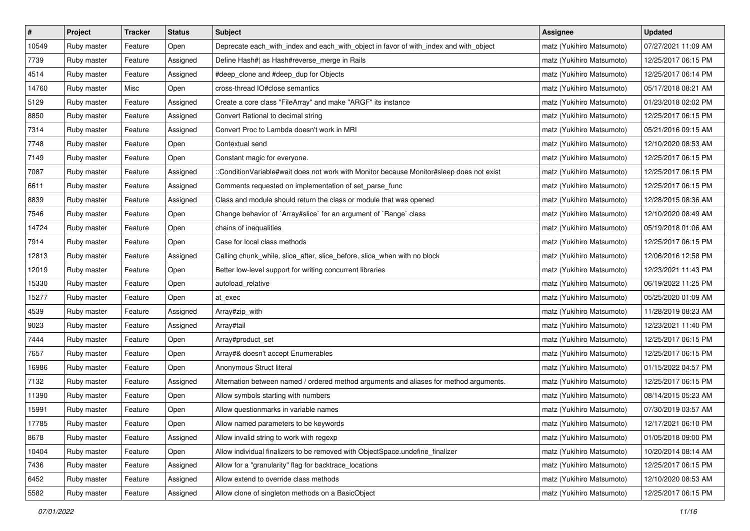| $\pmb{\#}$ | Project     | <b>Tracker</b> | <b>Status</b> | <b>Subject</b>                                                                           | Assignee                  | <b>Updated</b>      |
|------------|-------------|----------------|---------------|------------------------------------------------------------------------------------------|---------------------------|---------------------|
| 10549      | Ruby master | Feature        | Open          | Deprecate each_with_index and each_with_object in favor of with_index and with_object    | matz (Yukihiro Matsumoto) | 07/27/2021 11:09 AM |
| 7739       | Ruby master | Feature        | Assigned      | Define Hash#  as Hash#reverse_merge in Rails                                             | matz (Yukihiro Matsumoto) | 12/25/2017 06:15 PM |
| 4514       | Ruby master | Feature        | Assigned      | #deep_clone and #deep_dup for Objects                                                    | matz (Yukihiro Matsumoto) | 12/25/2017 06:14 PM |
| 14760      | Ruby master | Misc           | Open          | cross-thread IO#close semantics                                                          | matz (Yukihiro Matsumoto) | 05/17/2018 08:21 AM |
| 5129       | Ruby master | Feature        | Assigned      | Create a core class "FileArray" and make "ARGF" its instance                             | matz (Yukihiro Matsumoto) | 01/23/2018 02:02 PM |
| 8850       | Ruby master | Feature        | Assigned      | Convert Rational to decimal string                                                       | matz (Yukihiro Matsumoto) | 12/25/2017 06:15 PM |
| 7314       | Ruby master | Feature        | Assigned      | Convert Proc to Lambda doesn't work in MRI                                               | matz (Yukihiro Matsumoto) | 05/21/2016 09:15 AM |
| 7748       | Ruby master | Feature        | Open          | Contextual send                                                                          | matz (Yukihiro Matsumoto) | 12/10/2020 08:53 AM |
| 7149       | Ruby master | Feature        | Open          | Constant magic for everyone.                                                             | matz (Yukihiro Matsumoto) | 12/25/2017 06:15 PM |
| 7087       | Ruby master | Feature        | Assigned      | ::ConditionVariable#wait does not work with Monitor because Monitor#sleep does not exist | matz (Yukihiro Matsumoto) | 12/25/2017 06:15 PM |
| 6611       | Ruby master | Feature        | Assigned      | Comments requested on implementation of set_parse_func                                   | matz (Yukihiro Matsumoto) | 12/25/2017 06:15 PM |
| 8839       | Ruby master | Feature        | Assigned      | Class and module should return the class or module that was opened                       | matz (Yukihiro Matsumoto) | 12/28/2015 08:36 AM |
| 7546       | Ruby master | Feature        | Open          | Change behavior of `Array#slice` for an argument of `Range` class                        | matz (Yukihiro Matsumoto) | 12/10/2020 08:49 AM |
| 14724      | Ruby master | Feature        | Open          | chains of inequalities                                                                   | matz (Yukihiro Matsumoto) | 05/19/2018 01:06 AM |
| 7914       | Ruby master | Feature        | Open          | Case for local class methods                                                             | matz (Yukihiro Matsumoto) | 12/25/2017 06:15 PM |
| 12813      | Ruby master | Feature        | Assigned      | Calling chunk_while, slice_after, slice_before, slice_when with no block                 | matz (Yukihiro Matsumoto) | 12/06/2016 12:58 PM |
| 12019      | Ruby master | Feature        | Open          | Better low-level support for writing concurrent libraries                                | matz (Yukihiro Matsumoto) | 12/23/2021 11:43 PM |
| 15330      | Ruby master | Feature        | Open          | autoload_relative                                                                        | matz (Yukihiro Matsumoto) | 06/19/2022 11:25 PM |
| 15277      | Ruby master | Feature        | Open          | at exec                                                                                  | matz (Yukihiro Matsumoto) | 05/25/2020 01:09 AM |
| 4539       | Ruby master | Feature        | Assigned      | Array#zip_with                                                                           | matz (Yukihiro Matsumoto) | 11/28/2019 08:23 AM |
| 9023       | Ruby master | Feature        | Assigned      | Array#tail                                                                               | matz (Yukihiro Matsumoto) | 12/23/2021 11:40 PM |
| 7444       | Ruby master | Feature        | Open          | Array#product_set                                                                        | matz (Yukihiro Matsumoto) | 12/25/2017 06:15 PM |
| 7657       | Ruby master | Feature        | Open          | Array#& doesn't accept Enumerables                                                       | matz (Yukihiro Matsumoto) | 12/25/2017 06:15 PM |
| 16986      | Ruby master | Feature        | Open          | Anonymous Struct literal                                                                 | matz (Yukihiro Matsumoto) | 01/15/2022 04:57 PM |
| 7132       | Ruby master | Feature        | Assigned      | Alternation between named / ordered method arguments and aliases for method arguments.   | matz (Yukihiro Matsumoto) | 12/25/2017 06:15 PM |
| 11390      | Ruby master | Feature        | Open          | Allow symbols starting with numbers                                                      | matz (Yukihiro Matsumoto) | 08/14/2015 05:23 AM |
| 15991      | Ruby master | Feature        | Open          | Allow questionmarks in variable names                                                    | matz (Yukihiro Matsumoto) | 07/30/2019 03:57 AM |
| 17785      | Ruby master | Feature        | Open          | Allow named parameters to be keywords                                                    | matz (Yukihiro Matsumoto) | 12/17/2021 06:10 PM |
| 8678       | Ruby master | Feature        | Assigned      | Allow invalid string to work with regexp                                                 | matz (Yukihiro Matsumoto) | 01/05/2018 09:00 PM |
| 10404      | Ruby master | Feature        | Open          | Allow individual finalizers to be removed with ObjectSpace.undefine_finalizer            | matz (Yukihiro Matsumoto) | 10/20/2014 08:14 AM |
| 7436       | Ruby master | Feature        | Assigned      | Allow for a "granularity" flag for backtrace_locations                                   | matz (Yukihiro Matsumoto) | 12/25/2017 06:15 PM |
| 6452       | Ruby master | Feature        | Assigned      | Allow extend to override class methods                                                   | matz (Yukihiro Matsumoto) | 12/10/2020 08:53 AM |
| 5582       | Ruby master | Feature        | Assigned      | Allow clone of singleton methods on a BasicObject                                        | matz (Yukihiro Matsumoto) | 12/25/2017 06:15 PM |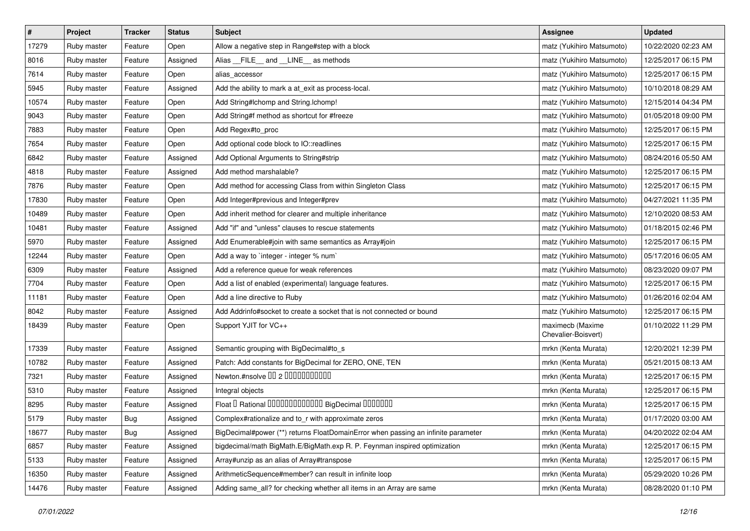| $\sharp$ | Project     | Tracker    | <b>Status</b> | <b>Subject</b>                                                                    | <b>Assignee</b>                         | <b>Updated</b>      |
|----------|-------------|------------|---------------|-----------------------------------------------------------------------------------|-----------------------------------------|---------------------|
| 17279    | Ruby master | Feature    | Open          | Allow a negative step in Range#step with a block                                  | matz (Yukihiro Matsumoto)               | 10/22/2020 02:23 AM |
| 8016     | Ruby master | Feature    | Assigned      | Alias __FILE__ and __LINE__ as methods                                            | matz (Yukihiro Matsumoto)               | 12/25/2017 06:15 PM |
| 7614     | Ruby master | Feature    | Open          | alias accessor                                                                    | matz (Yukihiro Matsumoto)               | 12/25/2017 06:15 PM |
| 5945     | Ruby master | Feature    | Assigned      | Add the ability to mark a at_exit as process-local.                               | matz (Yukihiro Matsumoto)               | 10/10/2018 08:29 AM |
| 10574    | Ruby master | Feature    | Open          | Add String#Ichomp and String.Ichomp!                                              | matz (Yukihiro Matsumoto)               | 12/15/2014 04:34 PM |
| 9043     | Ruby master | Feature    | Open          | Add String#f method as shortcut for #freeze                                       | matz (Yukihiro Matsumoto)               | 01/05/2018 09:00 PM |
| 7883     | Ruby master | Feature    | Open          | Add Regex#to_proc                                                                 | matz (Yukihiro Matsumoto)               | 12/25/2017 06:15 PM |
| 7654     | Ruby master | Feature    | Open          | Add optional code block to IO::readlines                                          | matz (Yukihiro Matsumoto)               | 12/25/2017 06:15 PM |
| 6842     | Ruby master | Feature    | Assigned      | Add Optional Arguments to String#strip                                            | matz (Yukihiro Matsumoto)               | 08/24/2016 05:50 AM |
| 4818     | Ruby master | Feature    | Assigned      | Add method marshalable?                                                           | matz (Yukihiro Matsumoto)               | 12/25/2017 06:15 PM |
| 7876     | Ruby master | Feature    | Open          | Add method for accessing Class from within Singleton Class                        | matz (Yukihiro Matsumoto)               | 12/25/2017 06:15 PM |
| 17830    | Ruby master | Feature    | Open          | Add Integer#previous and Integer#prev                                             | matz (Yukihiro Matsumoto)               | 04/27/2021 11:35 PM |
| 10489    | Ruby master | Feature    | Open          | Add inherit method for clearer and multiple inheritance                           | matz (Yukihiro Matsumoto)               | 12/10/2020 08:53 AM |
| 10481    | Ruby master | Feature    | Assigned      | Add "if" and "unless" clauses to rescue statements                                | matz (Yukihiro Matsumoto)               | 01/18/2015 02:46 PM |
| 5970     | Ruby master | Feature    | Assigned      | Add Enumerable#join with same semantics as Array#join                             | matz (Yukihiro Matsumoto)               | 12/25/2017 06:15 PM |
| 12244    | Ruby master | Feature    | Open          | Add a way to `integer - integer % num`                                            | matz (Yukihiro Matsumoto)               | 05/17/2016 06:05 AM |
| 6309     | Ruby master | Feature    | Assigned      | Add a reference queue for weak references                                         | matz (Yukihiro Matsumoto)               | 08/23/2020 09:07 PM |
| 7704     | Ruby master | Feature    | Open          | Add a list of enabled (experimental) language features.                           | matz (Yukihiro Matsumoto)               | 12/25/2017 06:15 PM |
| 11181    | Ruby master | Feature    | Open          | Add a line directive to Ruby                                                      | matz (Yukihiro Matsumoto)               | 01/26/2016 02:04 AM |
| 8042     | Ruby master | Feature    | Assigned      | Add Addrinfo#socket to create a socket that is not connected or bound             | matz (Yukihiro Matsumoto)               | 12/25/2017 06:15 PM |
| 18439    | Ruby master | Feature    | Open          | Support YJIT for VC++                                                             | maximecb (Maxime<br>Chevalier-Boisvert) | 01/10/2022 11:29 PM |
| 17339    | Ruby master | Feature    | Assigned      | Semantic grouping with BigDecimal#to_s                                            | mrkn (Kenta Murata)                     | 12/20/2021 12:39 PM |
| 10782    | Ruby master | Feature    | Assigned      | Patch: Add constants for BigDecimal for ZERO, ONE, TEN                            | mrkn (Kenta Murata)                     | 05/21/2015 08:13 AM |
| 7321     | Ruby master | Feature    | Assigned      | Newton.#nsolve 00 2 0000000000                                                    | mrkn (Kenta Murata)                     | 12/25/2017 06:15 PM |
| 5310     | Ruby master | Feature    | Assigned      | Integral objects                                                                  | mrkn (Kenta Murata)                     | 12/25/2017 06:15 PM |
| 8295     | Ruby master | Feature    | Assigned      | Float I Rational 0000000000000 BigDecimal 0000000                                 | mrkn (Kenta Murata)                     | 12/25/2017 06:15 PM |
| 5179     | Ruby master | <b>Bug</b> | Assigned      | Complex#rationalize and to_r with approximate zeros                               | mrkn (Kenta Murata)                     | 01/17/2020 03:00 AM |
| 18677    | Ruby master | <b>Bug</b> | Assigned      | BigDecimal#power (**) returns FloatDomainError when passing an infinite parameter | mrkn (Kenta Murata)                     | 04/20/2022 02:04 AM |
| 6857     | Ruby master | Feature    | Assigned      | bigdecimal/math BigMath.E/BigMath.exp R. P. Feynman inspired optimization         | mrkn (Kenta Murata)                     | 12/25/2017 06:15 PM |
| 5133     | Ruby master | Feature    | Assigned      | Array#unzip as an alias of Array#transpose                                        | mrkn (Kenta Murata)                     | 12/25/2017 06:15 PM |
| 16350    | Ruby master | Feature    | Assigned      | ArithmeticSequence#member? can result in infinite loop                            | mrkn (Kenta Murata)                     | 05/29/2020 10:26 PM |
| 14476    | Ruby master | Feature    | Assigned      | Adding same_all? for checking whether all items in an Array are same              | mrkn (Kenta Murata)                     | 08/28/2020 01:10 PM |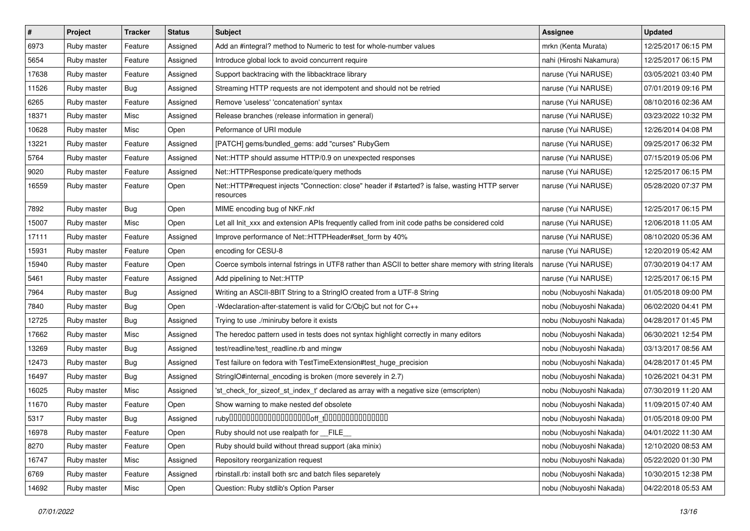| $\sharp$ | Project     | <b>Tracker</b> | <b>Status</b> | <b>Subject</b>                                                                                               | Assignee                | <b>Updated</b>      |
|----------|-------------|----------------|---------------|--------------------------------------------------------------------------------------------------------------|-------------------------|---------------------|
| 6973     | Ruby master | Feature        | Assigned      | Add an #integral? method to Numeric to test for whole-number values                                          | mrkn (Kenta Murata)     | 12/25/2017 06:15 PM |
| 5654     | Ruby master | Feature        | Assigned      | Introduce global lock to avoid concurrent require                                                            | nahi (Hiroshi Nakamura) | 12/25/2017 06:15 PM |
| 17638    | Ruby master | Feature        | Assigned      | Support backtracing with the libbacktrace library                                                            | naruse (Yui NARUSE)     | 03/05/2021 03:40 PM |
| 11526    | Ruby master | <b>Bug</b>     | Assigned      | Streaming HTTP requests are not idempotent and should not be retried                                         | naruse (Yui NARUSE)     | 07/01/2019 09:16 PM |
| 6265     | Ruby master | Feature        | Assigned      | Remove 'useless' 'concatenation' syntax                                                                      | naruse (Yui NARUSE)     | 08/10/2016 02:36 AM |
| 18371    | Ruby master | Misc           | Assigned      | Release branches (release information in general)                                                            | naruse (Yui NARUSE)     | 03/23/2022 10:32 PM |
| 10628    | Ruby master | Misc           | Open          | Peformance of URI module                                                                                     | naruse (Yui NARUSE)     | 12/26/2014 04:08 PM |
| 13221    | Ruby master | Feature        | Assigned      | [PATCH] gems/bundled_gems: add "curses" RubyGem                                                              | naruse (Yui NARUSE)     | 09/25/2017 06:32 PM |
| 5764     | Ruby master | Feature        | Assigned      | Net::HTTP should assume HTTP/0.9 on unexpected responses                                                     | naruse (Yui NARUSE)     | 07/15/2019 05:06 PM |
| 9020     | Ruby master | Feature        | Assigned      | Net::HTTPResponse predicate/query methods                                                                    | naruse (Yui NARUSE)     | 12/25/2017 06:15 PM |
| 16559    | Ruby master | Feature        | Open          | Net::HTTP#request injects "Connection: close" header if #started? is false, wasting HTTP server<br>resources | naruse (Yui NARUSE)     | 05/28/2020 07:37 PM |
| 7892     | Ruby master | Bug            | Open          | MIME encoding bug of NKF.nkf                                                                                 | naruse (Yui NARUSE)     | 12/25/2017 06:15 PM |
| 15007    | Ruby master | Misc           | Open          | Let all Init_xxx and extension APIs frequently called from init code paths be considered cold                | naruse (Yui NARUSE)     | 12/06/2018 11:05 AM |
| 17111    | Ruby master | Feature        | Assigned      | Improve performance of Net::HTTPHeader#set_form by 40%                                                       | naruse (Yui NARUSE)     | 08/10/2020 05:36 AM |
| 15931    | Ruby master | Feature        | Open          | encoding for CESU-8                                                                                          | naruse (Yui NARUSE)     | 12/20/2019 05:42 AM |
| 15940    | Ruby master | Feature        | Open          | Coerce symbols internal fstrings in UTF8 rather than ASCII to better share memory with string literals       | naruse (Yui NARUSE)     | 07/30/2019 04:17 AM |
| 5461     | Ruby master | Feature        | Assigned      | Add pipelining to Net::HTTP                                                                                  | naruse (Yui NARUSE)     | 12/25/2017 06:15 PM |
| 7964     | Ruby master | Bug            | Assigned      | Writing an ASCII-8BIT String to a StringIO created from a UTF-8 String                                       | nobu (Nobuyoshi Nakada) | 01/05/2018 09:00 PM |
| 7840     | Ruby master | Bug            | Open          | -Wdeclaration-after-statement is valid for C/ObjC but not for C++                                            | nobu (Nobuyoshi Nakada) | 06/02/2020 04:41 PM |
| 12725    | Ruby master | <b>Bug</b>     | Assigned      | Trying to use ./miniruby before it exists                                                                    | nobu (Nobuyoshi Nakada) | 04/28/2017 01:45 PM |
| 17662    | Ruby master | Misc           | Assigned      | The heredoc pattern used in tests does not syntax highlight correctly in many editors                        | nobu (Nobuyoshi Nakada) | 06/30/2021 12:54 PM |
| 13269    | Ruby master | <b>Bug</b>     | Assigned      | test/readline/test_readline.rb and mingw                                                                     | nobu (Nobuyoshi Nakada) | 03/13/2017 08:56 AM |
| 12473    | Ruby master | <b>Bug</b>     | Assigned      | Test failure on fedora with TestTimeExtension#test_huge_precision                                            | nobu (Nobuyoshi Nakada) | 04/28/2017 01:45 PM |
| 16497    | Ruby master | <b>Bug</b>     | Assigned      | StringIO#internal_encoding is broken (more severely in 2.7)                                                  | nobu (Nobuyoshi Nakada) | 10/26/2021 04:31 PM |
| 16025    | Ruby master | Misc           | Assigned      | 'st_check_for_sizeof_st_index_t' declared as array with a negative size (emscripten)                         | nobu (Nobuyoshi Nakada) | 07/30/2019 11:20 AM |
| 11670    | Ruby master | Feature        | Open          | Show warning to make nested def obsolete                                                                     | nobu (Nobuyoshi Nakada) | 11/09/2015 07:40 AM |
| 5317     | Ruby master | <b>Bug</b>     | Assigned      |                                                                                                              | nobu (Nobuyoshi Nakada) | 01/05/2018 09:00 PM |
| 16978    | Ruby master | Feature        | Open          | Ruby should not use realpath for __FILE_                                                                     | nobu (Nobuyoshi Nakada) | 04/01/2022 11:30 AM |
| 8270     | Ruby master | Feature        | Open          | Ruby should build without thread support (aka minix)                                                         | nobu (Nobuyoshi Nakada) | 12/10/2020 08:53 AM |
| 16747    | Ruby master | Misc           | Assigned      | Repository reorganization request                                                                            | nobu (Nobuyoshi Nakada) | 05/22/2020 01:30 PM |
| 6769     | Ruby master | Feature        | Assigned      | rbinstall.rb: install both src and batch files separetely                                                    | nobu (Nobuyoshi Nakada) | 10/30/2015 12:38 PM |
| 14692    | Ruby master | Misc           | Open          | Question: Ruby stdlib's Option Parser                                                                        | nobu (Nobuyoshi Nakada) | 04/22/2018 05:53 AM |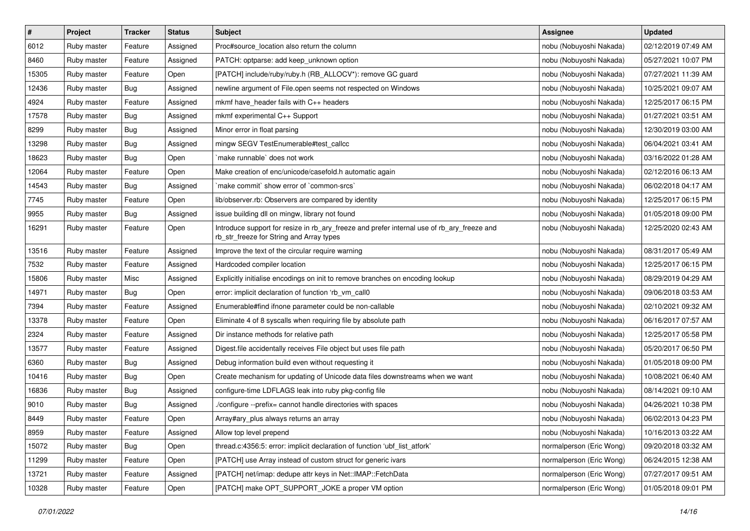| $\pmb{\#}$ | Project     | <b>Tracker</b> | <b>Status</b> | <b>Subject</b>                                                                                                                         | <b>Assignee</b>          | <b>Updated</b>      |
|------------|-------------|----------------|---------------|----------------------------------------------------------------------------------------------------------------------------------------|--------------------------|---------------------|
| 6012       | Ruby master | Feature        | Assigned      | Proc#source_location also return the column                                                                                            | nobu (Nobuyoshi Nakada)  | 02/12/2019 07:49 AM |
| 8460       | Ruby master | Feature        | Assigned      | PATCH: optparse: add keep_unknown option                                                                                               | nobu (Nobuyoshi Nakada)  | 05/27/2021 10:07 PM |
| 15305      | Ruby master | Feature        | Open          | [PATCH] include/ruby/ruby.h (RB_ALLOCV*): remove GC guard                                                                              | nobu (Nobuyoshi Nakada)  | 07/27/2021 11:39 AM |
| 12436      | Ruby master | Bug            | Assigned      | newline argument of File.open seems not respected on Windows                                                                           | nobu (Nobuyoshi Nakada)  | 10/25/2021 09:07 AM |
| 4924       | Ruby master | Feature        | Assigned      | mkmf have header fails with C++ headers                                                                                                | nobu (Nobuyoshi Nakada)  | 12/25/2017 06:15 PM |
| 17578      | Ruby master | <b>Bug</b>     | Assigned      | mkmf experimental C++ Support                                                                                                          | nobu (Nobuyoshi Nakada)  | 01/27/2021 03:51 AM |
| 8299       | Ruby master | Bug            | Assigned      | Minor error in float parsing                                                                                                           | nobu (Nobuyoshi Nakada)  | 12/30/2019 03:00 AM |
| 13298      | Ruby master | <b>Bug</b>     | Assigned      | mingw SEGV TestEnumerable#test callcc                                                                                                  | nobu (Nobuyoshi Nakada)  | 06/04/2021 03:41 AM |
| 18623      | Ruby master | <b>Bug</b>     | Open          | make runnable' does not work                                                                                                           | nobu (Nobuyoshi Nakada)  | 03/16/2022 01:28 AM |
| 12064      | Ruby master | Feature        | Open          | Make creation of enc/unicode/casefold.h automatic again                                                                                | nobu (Nobuyoshi Nakada)  | 02/12/2016 06:13 AM |
| 14543      | Ruby master | Bug            | Assigned      | 'make commit' show error of 'common-srcs'                                                                                              | nobu (Nobuyoshi Nakada)  | 06/02/2018 04:17 AM |
| 7745       | Ruby master | Feature        | Open          | lib/observer.rb: Observers are compared by identity                                                                                    | nobu (Nobuyoshi Nakada)  | 12/25/2017 06:15 PM |
| 9955       | Ruby master | Bug            | Assigned      | issue building dll on mingw, library not found                                                                                         | nobu (Nobuyoshi Nakada)  | 01/05/2018 09:00 PM |
| 16291      | Ruby master | Feature        | Open          | Introduce support for resize in rb_ary_freeze and prefer internal use of rb_ary_freeze and<br>rb_str_freeze for String and Array types | nobu (Nobuyoshi Nakada)  | 12/25/2020 02:43 AM |
| 13516      | Ruby master | Feature        | Assigned      | Improve the text of the circular require warning                                                                                       | nobu (Nobuyoshi Nakada)  | 08/31/2017 05:49 AM |
| 7532       | Ruby master | Feature        | Assigned      | Hardcoded compiler location                                                                                                            | nobu (Nobuyoshi Nakada)  | 12/25/2017 06:15 PM |
| 15806      | Ruby master | Misc           | Assigned      | Explicitly initialise encodings on init to remove branches on encoding lookup                                                          | nobu (Nobuyoshi Nakada)  | 08/29/2019 04:29 AM |
| 14971      | Ruby master | Bug            | Open          | error: implicit declaration of function 'rb_vm_call0                                                                                   | nobu (Nobuyoshi Nakada)  | 09/06/2018 03:53 AM |
| 7394       | Ruby master | Feature        | Assigned      | Enumerable#find ifnone parameter could be non-callable                                                                                 | nobu (Nobuyoshi Nakada)  | 02/10/2021 09:32 AM |
| 13378      | Ruby master | Feature        | Open          | Eliminate 4 of 8 syscalls when requiring file by absolute path                                                                         | nobu (Nobuyoshi Nakada)  | 06/16/2017 07:57 AM |
| 2324       | Ruby master | Feature        | Assigned      | Dir instance methods for relative path                                                                                                 | nobu (Nobuyoshi Nakada)  | 12/25/2017 05:58 PM |
| 13577      | Ruby master | Feature        | Assigned      | Digest.file accidentally receives File object but uses file path                                                                       | nobu (Nobuyoshi Nakada)  | 05/20/2017 06:50 PM |
| 6360       | Ruby master | Bug            | Assigned      | Debug information build even without requesting it                                                                                     | nobu (Nobuyoshi Nakada)  | 01/05/2018 09:00 PM |
| 10416      | Ruby master | Bug            | Open          | Create mechanism for updating of Unicode data files downstreams when we want                                                           | nobu (Nobuyoshi Nakada)  | 10/08/2021 06:40 AM |
| 16836      | Ruby master | <b>Bug</b>     | Assigned      | configure-time LDFLAGS leak into ruby pkg-config file                                                                                  | nobu (Nobuyoshi Nakada)  | 08/14/2021 09:10 AM |
| 9010       | Ruby master | <b>Bug</b>     | Assigned      | ./configure --prefix= cannot handle directories with spaces                                                                            | nobu (Nobuyoshi Nakada)  | 04/26/2021 10:38 PM |
| 8449       | Ruby master | Feature        | Open          | Array#ary_plus always returns an array                                                                                                 | nobu (Nobuyoshi Nakada)  | 06/02/2013 04:23 PM |
| 8959       | Ruby master | Feature        | Assigned      | Allow top level prepend                                                                                                                | nobu (Nobuyoshi Nakada)  | 10/16/2013 03:22 AM |
| 15072      | Ruby master | <b>Bug</b>     | Open          | thread.c:4356:5: error: implicit declaration of function 'ubf_list_atfork'                                                             | normalperson (Eric Wong) | 09/20/2018 03:32 AM |
| 11299      | Ruby master | Feature        | Open          | [PATCH] use Array instead of custom struct for generic ivars                                                                           | normalperson (Eric Wong) | 06/24/2015 12:38 AM |
| 13721      | Ruby master | Feature        | Assigned      | [PATCH] net/imap: dedupe attr keys in Net::IMAP::FetchData                                                                             | normalperson (Eric Wong) | 07/27/2017 09:51 AM |
| 10328      | Ruby master | Feature        | Open          | [PATCH] make OPT_SUPPORT_JOKE a proper VM option                                                                                       | normalperson (Eric Wong) | 01/05/2018 09:01 PM |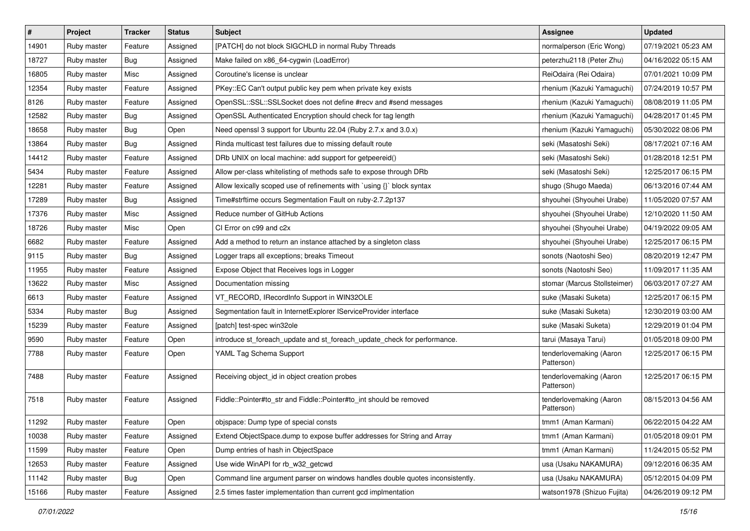| $\vert$ # | Project     | Tracker    | <b>Status</b> | <b>Subject</b>                                                                | <b>Assignee</b>                       | <b>Updated</b>      |
|-----------|-------------|------------|---------------|-------------------------------------------------------------------------------|---------------------------------------|---------------------|
| 14901     | Ruby master | Feature    | Assigned      | [PATCH] do not block SIGCHLD in normal Ruby Threads                           | normalperson (Eric Wong)              | 07/19/2021 05:23 AM |
| 18727     | Ruby master | Bug        | Assigned      | Make failed on x86_64-cygwin (LoadError)                                      | peterzhu2118 (Peter Zhu)              | 04/16/2022 05:15 AM |
| 16805     | Ruby master | Misc       | Assigned      | Coroutine's license is unclear                                                | ReiOdaira (Rei Odaira)                | 07/01/2021 10:09 PM |
| 12354     | Ruby master | Feature    | Assigned      | PKey::EC Can't output public key pem when private key exists                  | rhenium (Kazuki Yamaguchi)            | 07/24/2019 10:57 PM |
| 8126      | Ruby master | Feature    | Assigned      | OpenSSL::SSL::SSLSocket does not define #recv and #send messages              | rhenium (Kazuki Yamaguchi)            | 08/08/2019 11:05 PM |
| 12582     | Ruby master | <b>Bug</b> | Assigned      | OpenSSL Authenticated Encryption should check for tag length                  | rhenium (Kazuki Yamaguchi)            | 04/28/2017 01:45 PM |
| 18658     | Ruby master | Bug        | Open          | Need openssl 3 support for Ubuntu 22.04 (Ruby 2.7.x and 3.0.x)                | rhenium (Kazuki Yamaguchi)            | 05/30/2022 08:06 PM |
| 13864     | Ruby master | <b>Bug</b> | Assigned      | Rinda multicast test failures due to missing default route                    | seki (Masatoshi Seki)                 | 08/17/2021 07:16 AM |
| 14412     | Ruby master | Feature    | Assigned      | DRb UNIX on local machine: add support for getpeereid()                       | seki (Masatoshi Seki)                 | 01/28/2018 12:51 PM |
| 5434      | Ruby master | Feature    | Assigned      | Allow per-class whitelisting of methods safe to expose through DRb            | seki (Masatoshi Seki)                 | 12/25/2017 06:15 PM |
| 12281     | Ruby master | Feature    | Assigned      | Allow lexically scoped use of refinements with `using {}` block syntax        | shugo (Shugo Maeda)                   | 06/13/2016 07:44 AM |
| 17289     | Ruby master | <b>Bug</b> | Assigned      | Time#strftime occurs Segmentation Fault on ruby-2.7.2p137                     | shyouhei (Shyouhei Urabe)             | 11/05/2020 07:57 AM |
| 17376     | Ruby master | Misc       | Assigned      | Reduce number of GitHub Actions                                               | shyouhei (Shyouhei Urabe)             | 12/10/2020 11:50 AM |
| 18726     | Ruby master | Misc       | Open          | CI Error on c99 and c2x                                                       | shyouhei (Shyouhei Urabe)             | 04/19/2022 09:05 AM |
| 6682      | Ruby master | Feature    | Assigned      | Add a method to return an instance attached by a singleton class              | shyouhei (Shyouhei Urabe)             | 12/25/2017 06:15 PM |
| 9115      | Ruby master | <b>Bug</b> | Assigned      | Logger traps all exceptions; breaks Timeout                                   | sonots (Naotoshi Seo)                 | 08/20/2019 12:47 PM |
| 11955     | Ruby master | Feature    | Assigned      | Expose Object that Receives logs in Logger                                    | sonots (Naotoshi Seo)                 | 11/09/2017 11:35 AM |
| 13622     | Ruby master | Misc       | Assigned      | Documentation missing                                                         | stomar (Marcus Stollsteimer)          | 06/03/2017 07:27 AM |
| 6613      | Ruby master | Feature    | Assigned      | VT_RECORD, IRecordInfo Support in WIN32OLE                                    | suke (Masaki Suketa)                  | 12/25/2017 06:15 PM |
| 5334      | Ruby master | <b>Bug</b> | Assigned      | Segmentation fault in InternetExplorer IServiceProvider interface             | suke (Masaki Suketa)                  | 12/30/2019 03:00 AM |
| 15239     | Ruby master | Feature    | Assigned      | [patch] test-spec win32ole                                                    | suke (Masaki Suketa)                  | 12/29/2019 01:04 PM |
| 9590      | Ruby master | Feature    | Open          | introduce st_foreach_update and st_foreach_update_check for performance.      | tarui (Masaya Tarui)                  | 01/05/2018 09:00 PM |
| 7788      | Ruby master | Feature    | Open          | YAML Tag Schema Support                                                       | tenderlovemaking (Aaron<br>Patterson) | 12/25/2017 06:15 PM |
| 7488      | Ruby master | Feature    | Assigned      | Receiving object_id in object creation probes                                 | tenderlovemaking (Aaron<br>Patterson) | 12/25/2017 06:15 PM |
| 7518      | Ruby master | Feature    | Assigned      | Fiddle::Pointer#to_str and Fiddle::Pointer#to_int should be removed           | tenderlovemaking (Aaron<br>Patterson) | 08/15/2013 04:56 AM |
| 11292     | Ruby master | Feature    | Open          | objspace: Dump type of special consts                                         | tmm1 (Aman Karmani)                   | 06/22/2015 04:22 AM |
| 10038     | Ruby master | Feature    | Assigned      | Extend ObjectSpace.dump to expose buffer addresses for String and Array       | tmm1 (Aman Karmani)                   | 01/05/2018 09:01 PM |
| 11599     | Ruby master | Feature    | Open          | Dump entries of hash in ObjectSpace                                           | tmm1 (Aman Karmani)                   | 11/24/2015 05:52 PM |
| 12653     | Ruby master | Feature    | Assigned      | Use wide WinAPI for rb_w32_getcwd                                             | usa (Usaku NAKAMURA)                  | 09/12/2016 06:35 AM |
| 11142     | Ruby master | Bug        | Open          | Command line argument parser on windows handles double quotes inconsistently. | usa (Usaku NAKAMURA)                  | 05/12/2015 04:09 PM |
| 15166     | Ruby master | Feature    | Assigned      | 2.5 times faster implementation than current gcd implmentation                | watson1978 (Shizuo Fujita)            | 04/26/2019 09:12 PM |